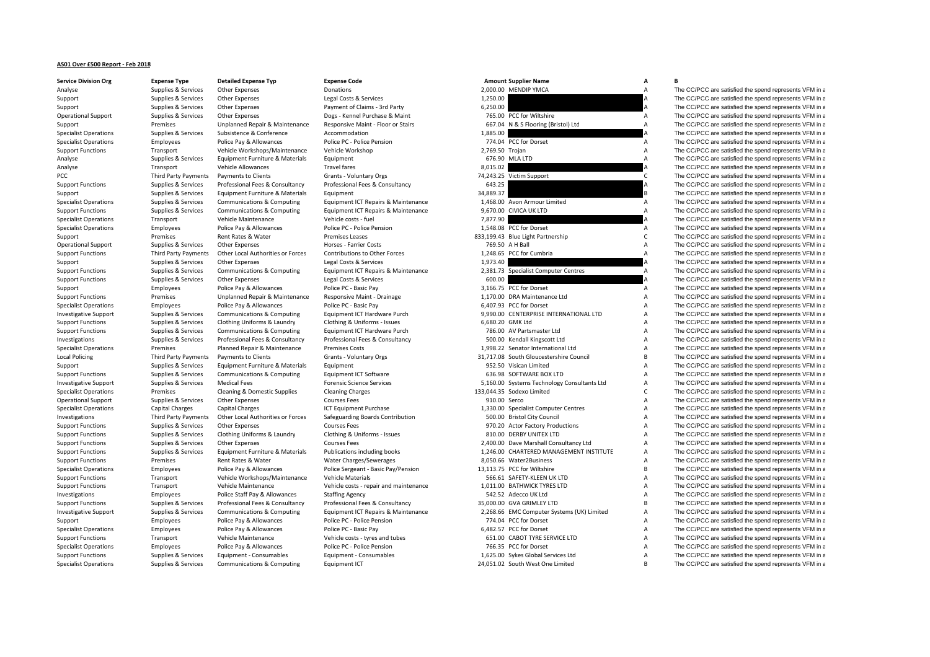## **AS01 Over £500 Report ‐ Feb 2018**

## Specialist Operations Supplies & Services Communications & Computing Equipment ICT 24,051.02 South West One Limited B The CC/PCC are satisfied the spend represents VFM in a

| <b>Service Division Org</b>  | <b>Expense Type</b>  | <b>Detailed Expense Typ</b>       | <b>Expense Code</b>                    |                 | <b>Amount Supplier Name</b>                 | А                         | в                                                      |
|------------------------------|----------------------|-----------------------------------|----------------------------------------|-----------------|---------------------------------------------|---------------------------|--------------------------------------------------------|
| Analyse                      | Supplies & Services  | Other Expenses                    | Donations                              |                 | 2,000.00 MENDIP YMCA                        | $\overline{A}$            | The CC/PCC are satisfied the spend represents VFM in a |
| Support                      | Supplies & Services  | Other Expenses                    | Legal Costs & Services                 | 1,250.00        |                                             | A                         | The CC/PCC are satisfied the spend represents VFM in a |
| Support                      | Supplies & Services  | Other Expenses                    | Payment of Claims - 3rd Party          | 6,250.00        |                                             |                           | The CC/PCC are satisfied the spend represents VFM in a |
| <b>Operational Support</b>   | Supplies & Services  | Other Expenses                    | Dogs - Kennel Purchase & Maint         |                 | 765.00 PCC for Wiltshire                    | A                         | The CC/PCC are satisfied the spend represents VFM in a |
| Support                      | Premises             | Unplanned Repair & Maintenance    | Responsive Maint - Floor or Stairs     |                 | 667.04 N & S Flooring (Bristol) Ltd         | $\overline{A}$            | The CC/PCC are satisfied the spend represents VFM in a |
| <b>Specialist Operations</b> | Supplies & Services  | Subsistence & Conference          | Accommodation                          | 1,885.00        |                                             |                           | The CC/PCC are satisfied the spend represents VFM in a |
| <b>Specialist Operations</b> | Employees            | Police Pay & Allowances           | Police PC - Police Pension             |                 | 774.04 PCC for Dorset                       | $\overline{A}$            | The CC/PCC are satisfied the spend represents VFM in a |
| <b>Support Functions</b>     | Transport            | Vehicle Workshops/Maintenance     | Vehicle Workshop                       | 2,769.50 Trojan |                                             | $\overline{A}$            | The CC/PCC are satisfied the spend represents VFM in a |
| Analyse                      | Supplies & Services  | Equipment Furniture & Materials   | Equipment                              |                 | 676.90 MLA LTD                              | $\overline{A}$            | The CC/PCC are satisfied the spend represents VFM in a |
| Analyse                      | Transport            | Vehicle Allowances                | <b>Travel fares</b>                    | 8.015.02        |                                             |                           | The CC/PCC are satisfied the spend represents VFM in a |
| PCC                          | Third Party Payments | Payments to Clients               | Grants - Voluntary Orgs                |                 | 74,243.25 Victim Support                    | $\mathsf{C}$              | The CC/PCC are satisfied the spend represents VFM in a |
| <b>Support Functions</b>     | Supplies & Services  | Professional Fees & Consultancy   | Professional Fees & Consultancy        | 643.25          |                                             |                           | The CC/PCC are satisfied the spend represents VFM in a |
| Support                      | Supplies & Services  | Equipment Furniture & Materials   | Equipment                              | 34,889.37       |                                             |                           | The CC/PCC are satisfied the spend represents VFM in a |
| <b>Specialist Operations</b> | Supplies & Services  | Communications & Computing        | Equipment ICT Repairs & Maintenance    |                 | 1,468.00 Avon Armour Limited                | $\overline{A}$            | The CC/PCC are satisfied the spend represents VFM in a |
| <b>Support Functions</b>     | Supplies & Services  | Communications & Computing        | Equipment ICT Repairs & Maintenance    |                 | 9,670.00 CIVICA UK LTD                      | $\overline{A}$            | The CC/PCC are satisfied the spend represents VFM in a |
| <b>Specialist Operations</b> | Transport            | Vehicle Maintenance               | Vehicle costs - fuel                   | 7,877.90        |                                             |                           | The CC/PCC are satisfied the spend represents VFM in a |
| <b>Specialist Operations</b> | Employees            | Police Pay & Allowances           | Police PC - Police Pension             |                 | 1,548.08 PCC for Dorset                     | $\overline{A}$            | The CC/PCC are satisfied the spend represents VFM in a |
| Support                      | Premises             | Rent Rates & Water                | <b>Premises Leases</b>                 |                 | 833,199.43 Blue Light Partnership           | $\mathsf{C}$              | The CC/PCC are satisfied the spend represents VFM in a |
| <b>Operational Support</b>   | Supplies & Services  | Other Expenses                    | Horses - Farrier Costs                 |                 | 769.50 A H Ball                             | $\overline{A}$            | The CC/PCC are satisfied the spend represents VFM in a |
| <b>Support Functions</b>     | Third Party Payments | Other Local Authorities or Forces | Contributions to Other Forces          |                 | 1,248.65 PCC for Cumbria                    | $\overline{A}$            | The CC/PCC are satisfied the spend represents VFM in a |
|                              | Supplies & Services  | <b>Other Expenses</b>             | Legal Costs & Services                 | 1,973.40        |                                             |                           | The CC/PCC are satisfied the spend represents VFM in a |
| Support                      |                      |                                   |                                        |                 |                                             |                           |                                                        |
| <b>Support Functions</b>     | Supplies & Services  | Communications & Computing        | Equipment ICT Repairs & Maintenance    | 600.00          | 2,381.73 Specialist Computer Centres        | $\overline{A}$            | The CC/PCC are satisfied the spend represents VFM in a |
| <b>Support Functions</b>     | Supplies & Services  | Other Expenses                    | Legal Costs & Services                 |                 |                                             |                           | The CC/PCC are satisfied the spend represents VFM in a |
| Support                      | Employees            | Police Pay & Allowances           | Police PC - Basic Pay                  |                 | 3,166.75 PCC for Dorset                     | A                         | The CC/PCC are satisfied the spend represents VFM in a |
| <b>Support Functions</b>     | Premises             | Unplanned Repair & Maintenance    | Responsive Maint - Drainage            |                 | 1.170.00 DRA Maintenance Ltd                | $\overline{A}$            | The CC/PCC are satisfied the spend represents VFM in a |
| <b>Specialist Operations</b> | Employees            | Police Pay & Allowances           | Police PC - Basic Pay                  |                 | 6,407.93 PCC for Dorset                     | $\overline{A}$            | The CC/PCC are satisfied the spend represents VFM in a |
| <b>Investigative Support</b> | Supplies & Services  | Communications & Computing        | Equipment ICT Hardware Purch           |                 | 9.990.00 CENTERPRISE INTERNATIONAL LTD      | $\overline{A}$            | The CC/PCC are satisfied the spend represents VFM in a |
| <b>Support Functions</b>     | Supplies & Services  | Clothing Uniforms & Laundry       | Clothing & Uniforms - Issues           |                 | 6,680.20 GMK Ltd                            | A                         | The CC/PCC are satisfied the spend represents VFM in a |
| <b>Support Functions</b>     | Supplies & Services  | Communications & Computing        | Equipment ICT Hardware Purch           |                 | 786.00 AV Partsmaster Ltd                   | $\overline{A}$            | The CC/PCC are satisfied the spend represents VFM in a |
| Investigations               | Supplies & Services  | Professional Fees & Consultancy   | Professional Fees & Consultancy        |                 | 500.00 Kendall Kingscott Ltd                | $\overline{A}$            | The CC/PCC are satisfied the spend represents VFM in a |
| <b>Specialist Operations</b> | Premises             | Planned Repair & Maintenance      | <b>Premises Costs</b>                  |                 | 1,998.22 Senator International Ltd          | $\overline{A}$            | The CC/PCC are satisfied the spend represents VFM in a |
| <b>Local Policing</b>        | Third Party Payments | Payments to Clients               | <b>Grants - Voluntary Orgs</b>         |                 | 31,717.08 South Gloucestershire Council     | $\overline{B}$            | The CC/PCC are satisfied the spend represents VFM in a |
| Support                      | Supplies & Services  | Equipment Furniture & Materials   | Equipment                              |                 | 952.50 Visican Limited                      | A                         | The CC/PCC are satisfied the spend represents VFM in a |
| <b>Support Functions</b>     | Supplies & Services  | Communications & Computing        | Equipment ICT Software                 |                 | 636.98 SOFTWARE BOX LTD                     | $\overline{A}$            | The CC/PCC are satisfied the spend represents VFM in a |
| <b>Investigative Support</b> | Supplies & Services  | <b>Medical Fees</b>               | <b>Forensic Science Services</b>       |                 | 5,160.00 Systems Technology Consultants Ltd | A                         | The CC/PCC are satisfied the spend represents VFM in a |
| <b>Specialist Operations</b> | Premises             | Cleaning & Domestic Supplies      | <b>Cleaning Charges</b>                |                 | 133,044.35 Sodexo Limited                   | $\mathsf{C}$              | The CC/PCC are satisfied the spend represents VFM in a |
| <b>Operational Support</b>   | Supplies & Services  | <b>Other Expenses</b>             | <b>Courses Fees</b>                    | 910.00 Serco    |                                             | $\overline{A}$            | The CC/PCC are satisfied the spend represents VFM in a |
| <b>Specialist Operations</b> | Capital Charges      | <b>Capital Charges</b>            | ICT Equipment Purchase                 |                 | 1,330.00 Specialist Computer Centres        | $\overline{A}$            | The CC/PCC are satisfied the spend represents VFM in a |
| Investigations               | Third Party Payments | Other Local Authorities or Forces | Safeguarding Boards Contribution       |                 | 500.00 Bristol City Council                 | $\overline{A}$            | The CC/PCC are satisfied the spend represents VFM in a |
| <b>Support Functions</b>     | Supplies & Services  | Other Expenses                    | <b>Courses Fees</b>                    |                 | 970.20 Actor Factory Productions            | A                         | The CC/PCC are satisfied the spend represents VFM in a |
| <b>Support Functions</b>     | Supplies & Services  | Clothing Uniforms & Laundry       | Clothing & Uniforms - Issues           |                 | 810.00 DERBY UNITEX LTD                     | $\overline{A}$            | The CC/PCC are satisfied the spend represents VFM in a |
| <b>Support Functions</b>     | Supplies & Services  | <b>Other Expenses</b>             | <b>Courses Fees</b>                    |                 | 2,400.00 Dave Marshall Consultancy Ltd      | $\overline{A}$            | The CC/PCC are satisfied the spend represents VFM in a |
| <b>Support Functions</b>     | Supplies & Services  | Equipment Furniture & Materials   | Publications including books           |                 | 1,246.00 CHARTERED MANAGEMENT INSTITUTE     | $\boldsymbol{\mathsf{A}}$ | The CC/PCC are satisfied the spend represents VFM in a |
| <b>Support Functions</b>     | Premises             | Rent Rates & Water                | Water Charges/Sewerages                |                 | 8,050.66 Water2Business                     | $\overline{A}$            | The CC/PCC are satisfied the spend represents VFM in a |
| <b>Specialist Operations</b> | Employees            | Police Pay & Allowances           | Police Sergeant - Basic Pay/Pension    |                 | 13,113.75 PCC for Wiltshire                 | B                         | The CC/PCC are satisfied the spend represents VFM in a |
| <b>Support Functions</b>     | Transport            | Vehicle Workshops/Maintenance     | Vehicle Materials                      |                 | 566.61 SAFETY-KLEEN UK LTD                  | $\boldsymbol{\mathsf{A}}$ | The CC/PCC are satisfied the spend represents VFM in a |
| <b>Support Functions</b>     | Transport            | Vehicle Maintenance               | Vehicle costs - repair and maintenance |                 | 1,011.00 BATHWICK TYRES LTD                 | $\boldsymbol{\mathsf{A}}$ | The CC/PCC are satisfied the spend represents VFM in a |
| Investigations               | Employees            | Police Staff Pay & Allowances     | <b>Staffing Agency</b>                 |                 | 542.52 Adecco UK Ltd                        | $\overline{A}$            | The CC/PCC are satisfied the spend represents VFM in a |
| <b>Support Functions</b>     | Supplies & Services  | Professional Fees & Consultancy   | Professional Fees & Consultancy        |                 | 35,000.00 GVA GRIMLEY LTD                   | $\overline{B}$            | The CC/PCC are satisfied the spend represents VFM in a |
| <b>Investigative Support</b> | Supplies & Services  | Communications & Computing        | Equipment ICT Repairs & Maintenance    |                 | 2,268.66 EMC Computer Systems (UK) Limited  | $\overline{A}$            | The CC/PCC are satisfied the spend represents VFM in a |
| Support                      | Employees            | Police Pay & Allowances           | Police PC - Police Pension             |                 | 774.04 PCC for Dorset                       | $\overline{A}$            | The CC/PCC are satisfied the spend represents VFM in a |
| <b>Specialist Operations</b> | Employees            | Police Pay & Allowances           | Police PC - Basic Pay                  |                 | 6,482.57 PCC for Dorset                     | A                         | The CC/PCC are satisfied the spend represents VFM in a |
| <b>Support Functions</b>     | Transport            | Vehicle Maintenance               | Vehicle costs - tyres and tubes        |                 | 651.00 CABOT TYRE SERVICE LTD               | $\overline{A}$            | The CC/PCC are satisfied the spend represents VFM in a |
| <b>Specialist Operations</b> | Employees            | Police Pay & Allowances           | Police PC - Police Pension             |                 | 766.35 PCC for Dorset                       | $\overline{A}$            | The CC/PCC are satisfied the spend represents VFM in a |
| <b>Support Functions</b>     | Supplies & Services  | Equipment - Consumables           | Equipment - Consumables                |                 | 1,625.00 Sykes Global Services Ltd          | $\overline{A}$            | The CC/PCC are satisfied the spend represents VFM in a |
|                              |                      |                                   |                                        |                 |                                             |                           |                                                        |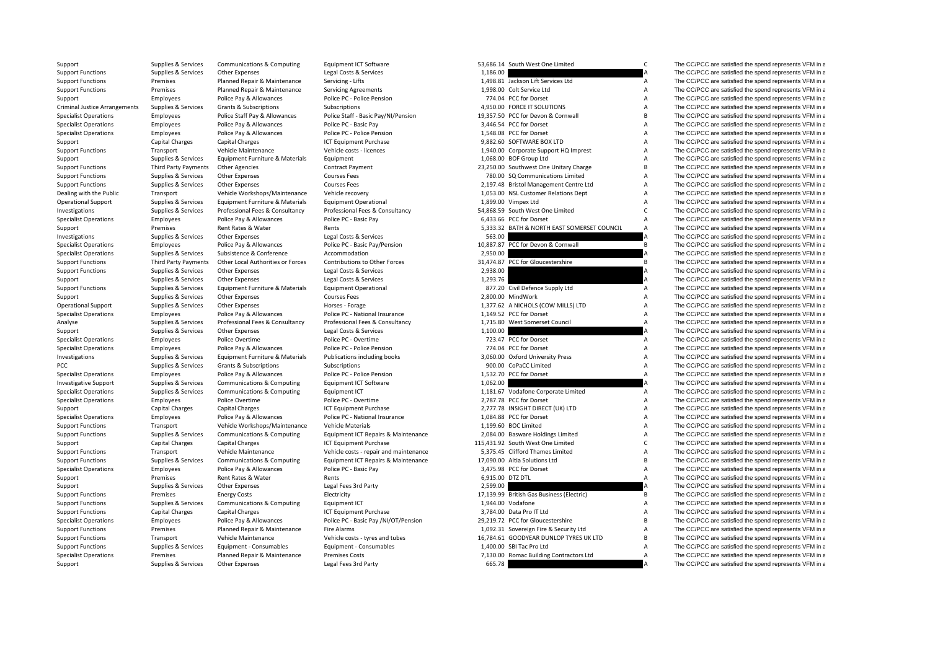| Support                               | Supplies & Services    | Communications & Computing        | Equipment ICT Software                 |          | 53,686.14 South West One Limited            | C                         | The CC/PCC are satisfied the spend represents VFM in a |
|---------------------------------------|------------------------|-----------------------------------|----------------------------------------|----------|---------------------------------------------|---------------------------|--------------------------------------------------------|
| <b>Support Functions</b>              | Supplies & Services    | Other Expenses                    | Legal Costs & Services                 | 1,186.00 |                                             |                           | The CC/PCC are satisfied the spend represents VFM in a |
| <b>Support Functions</b>              | Premises               | Planned Repair & Maintenance      | Servicing - Lifts                      |          | 1,498.81 Jackson Lift Services Ltd          | Α                         | The CC/PCC are satisfied the spend represents VFM in a |
| <b>Support Functions</b>              | Premises               | Planned Repair & Maintenance      | <b>Servicing Agreements</b>            |          | 1,998.00 Colt Service Ltd                   | A                         | The CC/PCC are satisfied the spend represents VFM in a |
| Support                               | Employees              | Police Pay & Allowances           | Police PC - Police Pension             |          | 774.04 PCC for Dorset                       | A                         | The CC/PCC are satisfied the spend represents VFM in a |
| <b>Criminal Justice Arrangements</b>  | Supplies & Services    | Grants & Subscriptions            | Subscriptions                          |          | 4,950.00 FORCE IT SOLUTIONS                 | A                         | The CC/PCC are satisfied the spend represents VFM in a |
| <b>Specialist Operations</b>          | Employees              | Police Staff Pay & Allowances     | Police Staff - Basic Pay/NI/Pension    |          | 19,357.50 PCC for Devon & Cornwall          | $\overline{B}$            | The CC/PCC are satisfied the spend represents VFM in a |
| <b>Specialist Operations</b>          | Employees              | Police Pay & Allowances           | Police PC - Basic Pay                  |          | 3,446.54 PCC for Dorset                     | A                         | The CC/PCC are satisfied the spend represents VFM in a |
| <b>Specialist Operations</b>          | Employees              | Police Pay & Allowances           | Police PC - Police Pension             |          | 1,548.08 PCC for Dorset                     | A                         | The CC/PCC are satisfied the spend represents VFM in a |
| Support                               | Capital Charges        | Capital Charges                   | ICT Equipment Purchase                 |          | 9,882.60 SOFTWARE BOX LTD                   | A                         | The CC/PCC are satisfied the spend represents VFM in a |
| <b>Support Functions</b>              | Transport              | Vehicle Maintenance               | Vehicle costs - licences               |          | 1,940.00 Corporate Support HQ Imprest       | $\boldsymbol{\mathsf{A}}$ | The CC/PCC are satisfied the spend represents VFM in a |
| Support                               | Supplies & Services    | Equipment Furniture & Materials   | Equipment                              |          | 1,068.00 BOF Group Ltd                      | A                         | The CC/PCC are satisfied the spend represents VFM in a |
| <b>Support Functions</b>              | Third Party Payments   | <b>Other Agencies</b>             | <b>Contract Payment</b>                |          | 23,250.00 Southwest One Unitary Charge      | B                         | The CC/PCC are satisfied the spend represents VFM in a |
| <b>Support Functions</b>              | Supplies & Services    | Other Expenses                    | <b>Courses Fees</b>                    |          | 780.00 SQ Communications Limited            | $\boldsymbol{\mathsf{A}}$ | The CC/PCC are satisfied the spend represents VFM in a |
| <b>Support Functions</b>              | Supplies & Services    | <b>Other Expenses</b>             | <b>Courses Fees</b>                    |          | 2,197.48 Bristol Management Centre Ltd      | $\boldsymbol{\mathsf{A}}$ | The CC/PCC are satisfied the spend represents VFM in a |
| Dealing with the Public               | Transport              | Vehicle Workshops/Maintenance     | Vehicle recovery                       |          | 1,053.00 NSL Customer Relations Dept        | $\boldsymbol{\mathsf{A}}$ | The CC/PCC are satisfied the spend represents VFM in a |
| <b>Operational Support</b>            | Supplies & Services    | Equipment Furniture & Materials   | <b>Equipment Operational</b>           |          | 1,899.00 Vimpex Ltd                         | $\overline{A}$            | The CC/PCC are satisfied the spend represents VFM in a |
| Investigations                        | Supplies & Services    | Professional Fees & Consultancy   | Professional Fees & Consultancy        |          | 54,868.59 South West One Limited            | $\mathsf{C}$              | The CC/PCC are satisfied the spend represents VFM in a |
| <b>Specialist Operations</b>          | Employees              | Police Pay & Allowances           | Police PC - Basic Pay                  |          | 6,433.66 PCC for Dorset                     | A                         | The CC/PCC are satisfied the spend represents VFM in a |
| Support                               | Premises               | Rent Rates & Water                | Rents                                  |          | 5,333.32 BATH & NORTH EAST SOMERSET COUNCIL | $\boldsymbol{\mathsf{A}}$ | The CC/PCC are satisfied the spend represents VFM in a |
| Investigations                        | Supplies & Services    | Other Expenses                    | Legal Costs & Services                 | 563.00   |                                             |                           | The CC/PCC are satisfied the spend represents VFM in a |
| <b>Specialist Operations</b>          | Employees              | Police Pay & Allowances           | Police PC - Basic Pay/Pension          |          | 10,887.87 PCC for Devon & Cornwall          | B                         | The CC/PCC are satisfied the spend represents VFM in a |
| <b>Specialist Operations</b>          | Supplies & Services    | Subsistence & Conference          | Accommodation                          | 2,950.00 |                                             |                           | The CC/PCC are satisfied the spend represents VFM in a |
| <b>Support Functions</b>              | Third Party Payments   | Other Local Authorities or Forces | Contributions to Other Forces          |          | 31,474.87 PCC for Gloucestershire           | B                         | The CC/PCC are satisfied the spend represents VFM in a |
| <b>Support Functions</b>              | Supplies & Services    | Other Expenses                    | Legal Costs & Services                 | 2,938.00 |                                             | A                         | The CC/PCC are satisfied the spend represents VFM in a |
| Support                               | Supplies & Services    | Other Expenses                    | Legal Costs & Services                 | 1,293.76 |                                             | A                         | The CC/PCC are satisfied the spend represents VFM in a |
| <b>Support Functions</b>              | Supplies & Services    | Equipment Furniture & Materials   | <b>Equipment Operational</b>           |          | 877.20 Civil Defence Supply Ltd             | $\overline{A}$            | The CC/PCC are satisfied the spend represents VFM in a |
|                                       | Supplies & Services    | Other Expenses                    | <b>Courses Fees</b>                    |          | 2,800.00 MindWork                           | $\overline{A}$            | The CC/PCC are satisfied the spend represents VFM in a |
| Support<br><b>Operational Support</b> | Supplies & Services    | Other Expenses                    | Horses - Forage                        |          | 1,377.62 A NICHOLS (COW MILLS) LTD          | $\boldsymbol{\mathsf{A}}$ | The CC/PCC are satisfied the spend represents VFM in a |
|                                       |                        |                                   |                                        |          |                                             |                           |                                                        |
| <b>Specialist Operations</b>          | Employees              | Police Pay & Allowances           | Police PC - National Insurance         |          | 1,149.52 PCC for Dorset                     | A<br>A                    | The CC/PCC are satisfied the spend represents VFM in a |
| Analyse                               | Supplies & Services    | Professional Fees & Consultancy   | Professional Fees & Consultancy        |          | 1,715.80 West Somerset Council              |                           | The CC/PCC are satisfied the spend represents VFM in a |
| Support                               | Supplies & Services    | Other Expenses                    | Legal Costs & Services                 | 1,100.00 |                                             |                           | The CC/PCC are satisfied the spend represents VFM in a |
| <b>Specialist Operations</b>          | Employees              | Police Overtime                   | Police PC - Overtime                   |          | 723.47 PCC for Dorset                       | $\overline{A}$            | The CC/PCC are satisfied the spend represents VFM in a |
| <b>Specialist Operations</b>          | Employees              | Police Pay & Allowances           | Police PC - Police Pension             |          | 774.04 PCC for Dorset                       | A                         | The CC/PCC are satisfied the spend represents VFM in a |
| Investigations                        | Supplies & Services    | Equipment Furniture & Materials   | Publications including books           |          | 3,060.00 Oxford University Press            | A                         | The CC/PCC are satisfied the spend represents VFM in a |
| PCC                                   | Supplies & Services    | Grants & Subscriptions            | Subscriptions                          |          | 900.00 CoPaCC Limited                       | $\boldsymbol{\mathsf{A}}$ | The CC/PCC are satisfied the spend represents VFM in a |
| <b>Specialist Operations</b>          | Employees              | Police Pay & Allowances           | Police PC - Police Pension             |          | 1,532.70 PCC for Dorset                     | A                         | The CC/PCC are satisfied the spend represents VFM in a |
| <b>Investigative Support</b>          | Supplies & Services    | Communications & Computing        | Equipment ICT Software                 | 1,062.00 |                                             |                           | The CC/PCC are satisfied the spend represents VFM in a |
| <b>Specialist Operations</b>          | Supplies & Services    | Communications & Computing        | Equipment ICT                          |          | 1,181.67 Vodafone Corporate Limited         | A                         | The CC/PCC are satisfied the spend represents VFM in a |
| <b>Specialist Operations</b>          | Employees              | Police Overtime                   | Police PC - Overtime                   |          | 2,787.78 PCC for Dorset                     | A                         | The CC/PCC are satisfied the spend represents VFM in a |
| Support                               | Capital Charges        | <b>Capital Charges</b>            | ICT Equipment Purchase                 |          | 2,777.78 INSIGHT DIRECT (UK) LTD            | $\boldsymbol{\mathsf{A}}$ | The CC/PCC are satisfied the spend represents VFM in a |
| <b>Specialist Operations</b>          | Employees              | Police Pay & Allowances           | Police PC - National Insurance         |          | 1,084.88 PCC for Dorset                     | A                         | The CC/PCC are satisfied the spend represents VFM in a |
| <b>Support Functions</b>              | Transport              | Vehicle Workshops/Maintenance     | Vehicle Materials                      |          | 1,199.60 BOC Limited                        | $\boldsymbol{\mathsf{A}}$ | The CC/PCC are satisfied the spend represents VFM in a |
| <b>Support Functions</b>              | Supplies & Services    | Communications & Computing        | Equipment ICT Repairs & Maintenance    |          | 2,084.00 Basware Holdings Limited           | A                         | The CC/PCC are satisfied the spend represents VFM in a |
| Support                               | <b>Capital Charges</b> | <b>Capital Charges</b>            | ICT Equipment Purchase                 |          | 115,431.92 South West One Limited           | $\mathsf{C}$              | The CC/PCC are satisfied the spend represents VFM in a |
| <b>Support Functions</b>              | Transport              | Vehicle Maintenance               | Vehicle costs - repair and maintenance |          | 5,375.45 Clifford Thames Limited            | $\boldsymbol{\mathsf{A}}$ | The CC/PCC are satisfied the spend represents VFM in a |
| <b>Support Functions</b>              | Supplies & Services    | Communications & Computing        | Equipment ICT Repairs & Maintenance    |          | 17,090.00 Altia Solutions Ltd               | B                         | The CC/PCC are satisfied the spend represents VFM in a |
| <b>Specialist Operations</b>          | Employees              | Police Pay & Allowances           | Police PC - Basic Pay                  |          | 3,475.98 PCC for Dorset                     | $\boldsymbol{\mathsf{A}}$ | The CC/PCC are satisfied the spend represents VFM in a |
| Support                               | Premises               | Rent Rates & Water                | Rents                                  |          | 6,915.00 DTZ DTL                            | $\overline{A}$            | The CC/PCC are satisfied the spend represents VFM in a |
| Support                               | Supplies & Services    | Other Expenses                    | Legal Fees 3rd Party                   | 2,599.00 |                                             |                           | The CC/PCC are satisfied the spend represents VFM in a |
| <b>Support Functions</b>              | Premises               | <b>Energy Costs</b>               | Electricity                            |          | 17,139.99 British Gas Business (Electric)   | B                         | The CC/PCC are satisfied the spend represents VFM in a |
| <b>Support Functions</b>              | Supplies & Services    | Communications & Computing        | Equipment ICT                          |          | 1,944.00 Vodafone                           | A                         | The CC/PCC are satisfied the spend represents VFM in a |
| <b>Support Functions</b>              | <b>Capital Charges</b> | <b>Capital Charges</b>            | <b>ICT Equipment Purchase</b>          |          | 3,784.00 Data Pro IT Ltd                    | $\boldsymbol{\mathsf{A}}$ | The CC/PCC are satisfied the spend represents VFM in a |
| <b>Specialist Operations</b>          | Employees              | Police Pay & Allowances           | Police PC - Basic Pay /NI/OT/Pension   |          | 29,219.72 PCC for Gloucestershire           | $\overline{B}$            | The CC/PCC are satisfied the spend represents VFM in a |
| <b>Support Functions</b>              | Premises               | Planned Repair & Maintenance      | <b>Fire Alarms</b>                     |          | 1,092.31 Sovereign Fire & Security Ltd      | $\overline{A}$            | The CC/PCC are satisfied the spend represents VFM in a |
| <b>Support Functions</b>              | Transport              | Vehicle Maintenance               | Vehicle costs - tyres and tubes        |          | 16,784.61 GOODYEAR DUNLOP TYRES UK LTD      | $\overline{B}$            | The CC/PCC are satisfied the spend represents VFM in a |
| <b>Support Functions</b>              | Supplies & Services    | Equipment - Consumables           | Equipment - Consumables                |          | 1.400.00 SBI Tac Pro Ltd                    | $\boldsymbol{\mathsf{A}}$ | The CC/PCC are satisfied the spend represents VFM in a |
| <b>Specialist Operations</b>          | Premises               | Planned Repair & Maintenance      | <b>Premises Costs</b>                  |          | 7,130.00 Romac Building Contractors Ltd     | $\overline{A}$            | The CC/PCC are satisfied the spend represents VFM in a |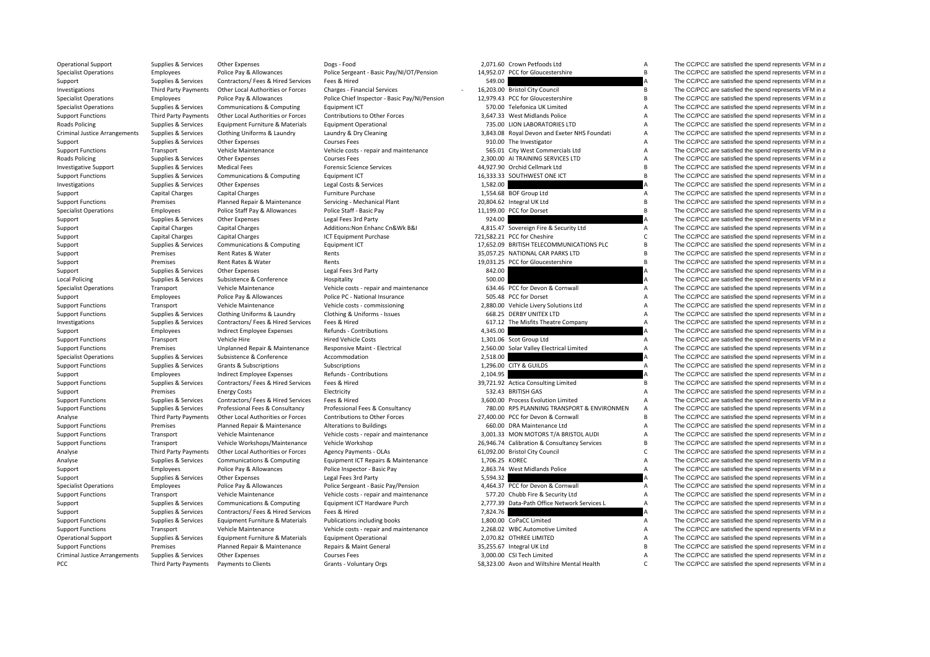| Operational Support                  | Supplies & Services    | Other Expenses                                        | Dogs - Food                                   |                | 2,071.60 Crown Petfoods Ltd                  | $\mathsf{A}$                     | The CC/PCC are satisfied the spend represents VFM in a |
|--------------------------------------|------------------------|-------------------------------------------------------|-----------------------------------------------|----------------|----------------------------------------------|----------------------------------|--------------------------------------------------------|
| <b>Specialist Operations</b>         | Employees              | Police Pay & Allowances                               | Police Sergeant - Basic Pay/NI/OT/Pension     |                | 14,952.07 PCC for Gloucestershire            | B                                | The CC/PCC are satisfied the spend represents VFM in a |
| Support                              | Supplies & Services    | Contractors/ Fees & Hired Services                    | Fees & Hired                                  | 549.00         |                                              |                                  | The CC/PCC are satisfied the spend represents VFM in a |
| Investigations                       | Third Party Payments   | Other Local Authorities or Forces                     | Charges - Financial Services                  |                | 16,203.00 Bristol City Council               | B                                | The CC/PCC are satisfied the spend represents VFM in a |
| <b>Specialist Operations</b>         | Employees              | Police Pay & Allowances                               | Police Chief Inspector - Basic Pay/NI/Pension |                | 12,979.43 PCC for Gloucestershire            | $\overline{B}$                   | The CC/PCC are satisfied the spend represents VFM in a |
| <b>Specialist Operations</b>         | Supplies & Services    | Communications & Computing                            | Equipment ICT                                 |                | 570.00 Telefonica UK Limited                 | $\boldsymbol{\mathsf{A}}$        | The CC/PCC are satisfied the spend represents VFM in a |
| <b>Support Functions</b>             | Third Party Payments   | Other Local Authorities or Forces                     | Contributions to Other Forces                 |                | 3,647.33 West Midlands Police                | A                                | The CC/PCC are satisfied the spend represents VFM in a |
| Roads Policing                       | Supplies & Services    | Equipment Furniture & Materials                       | <b>Equipment Operational</b>                  |                | 735.00 LION LABORATORIES LTD                 | A                                | The CC/PCC are satisfied the spend represents VFM in a |
| <b>Criminal Justice Arrangements</b> | Supplies & Services    | Clothing Uniforms & Laundry                           | Laundry & Dry Cleaning                        |                | 3,843.08 Royal Devon and Exeter NHS Foundati | A                                | The CC/PCC are satisfied the spend represents VFM in a |
| Support                              | Supplies & Services    | Other Expenses                                        | <b>Courses Fees</b>                           |                | 910.00 The Investigator                      | $\boldsymbol{\mathsf{A}}$        | The CC/PCC are satisfied the spend represents VFM in a |
| <b>Support Functions</b>             | Transport              | Vehicle Maintenance                                   | Vehicle costs - repair and maintenance        |                | 565.01 City West Commercials Ltd             | $\boldsymbol{\mathsf{A}}$        | The CC/PCC are satisfied the spend represents VFM in a |
| Roads Policing                       | Supplies & Services    | <b>Other Expenses</b>                                 | <b>Courses Fees</b>                           |                | 2,300.00 AI TRAINING SERVICES LTD            | $\boldsymbol{\mathsf{A}}$        | The CC/PCC are satisfied the spend represents VFM in a |
| <b>Investigative Support</b>         | Supplies & Services    | <b>Medical Fees</b>                                   | <b>Forensic Science Services</b>              |                | 44,927.90 Orchid Cellmark Ltd                | B                                | The CC/PCC are satisfied the spend represents VFM in a |
| <b>Support Functions</b>             | Supplies & Services    | Communications & Computing                            | Equipment ICT                                 |                | 16,333.33 SOUTHWEST ONE ICT                  | B                                | The CC/PCC are satisfied the spend represents VFM in a |
| Investigations                       | Supplies & Services    | Other Expenses                                        | Legal Costs & Services                        | 1,582.00       |                                              |                                  | The CC/PCC are satisfied the spend represents VFM in a |
| Support                              | <b>Capital Charges</b> | <b>Capital Charges</b>                                | <b>Furniture Purchase</b>                     |                | 1,554.68 BOF Group Ltd                       | A                                | The CC/PCC are satisfied the spend represents VFM in a |
| <b>Support Functions</b>             | Premises               | Planned Repair & Maintenance                          | Servicing - Mechanical Plant                  |                | 20,804.62 Integral UK Ltd                    | B                                | The CC/PCC are satisfied the spend represents VFM in a |
| <b>Specialist Operations</b>         | Employees              | Police Staff Pay & Allowances                         | Police Staff - Basic Pay                      |                | 11,199.00 PCC for Dorset                     | $\overline{B}$                   | The CC/PCC are satisfied the spend represents VFM in a |
| Support                              | Supplies & Services    | <b>Other Expenses</b>                                 | Legal Fees 3rd Party                          | 924.00         |                                              |                                  | The CC/PCC are satisfied the spend represents VFM in a |
| Support                              | Capital Charges        | <b>Capital Charges</b>                                | Additions: Non Enhanc Cn&Wk B&I               |                | 4,815.47 Sovereign Fire & Security Ltd       | A                                | The CC/PCC are satisfied the spend represents VFM in a |
| Support                              | <b>Capital Charges</b> | <b>Capital Charges</b>                                | ICT Equipment Purchase                        |                | 721,582.21 PCC for Cheshire                  | C                                | The CC/PCC are satisfied the spend represents VFM in a |
| Support                              | Supplies & Services    | Communications & Computing                            | Equipment ICT                                 |                | 17,652.09 BRITISH TELECOMMUNICATIONS PLC     | B                                | The CC/PCC are satisfied the spend represents VFM in a |
| Support                              | Premises               | Rent Rates & Water                                    | Rents                                         |                | 35,057.25 NATIONAL CAR PARKS LTD             | $\mathsf{B}$                     | The CC/PCC are satisfied the spend represents VFM in a |
| Support                              | Premises               | Rent Rates & Water                                    | Rents                                         |                | 19,031.25 PCC for Gloucestershire            | $\sf{B}$                         | The CC/PCC are satisfied the spend represents VFM in a |
| Support                              | Supplies & Services    | <b>Other Expenses</b>                                 | Legal Fees 3rd Party                          | 842.00         |                                              | A                                | The CC/PCC are satisfied the spend represents VFM in a |
| <b>Local Policing</b>                | Supplies & Services    | Subsistence & Conference                              | Hospitality                                   | 500.00         |                                              |                                  | The CC/PCC are satisfied the spend represents VFM in a |
| <b>Specialist Operations</b>         | Transport              | Vehicle Maintenance                                   | Vehicle costs - repair and maintenance        |                | 634.46 PCC for Devon & Cornwall              | $\overline{A}$                   | The CC/PCC are satisfied the spend represents VFM in a |
| Support                              | Employees              | Police Pay & Allowances                               | Police PC - National Insurance                |                | 505.48 PCC for Dorset                        | A                                | The CC/PCC are satisfied the spend represents VFM in a |
| <b>Support Functions</b>             | Transport              | Vehicle Maintenance                                   | Vehicle costs - commissioning                 |                | 2,880.00 Vehicle Livery Solutions Ltd        | $\boldsymbol{\mathsf{A}}$        | The CC/PCC are satisfied the spend represents VFM in a |
| <b>Support Functions</b>             | Supplies & Services    | Clothing Uniforms & Laundry                           | Clothing & Uniforms - Issues                  |                | 668.25 DERBY UNITEX LTD                      | A                                | The CC/PCC are satisfied the spend represents VFM in a |
| Investigations                       | Supplies & Services    | Contractors/ Fees & Hired Services                    | Fees & Hired                                  |                | 617.12 The Misfits Theatre Company           | A                                | The CC/PCC are satisfied the spend represents VFM in a |
| Support                              | Employees              | <b>Indirect Employee Expenses</b>                     | Refunds - Contributions                       | 4,345.00       |                                              |                                  | The CC/PCC are satisfied the spend represents VFM in a |
| <b>Support Functions</b>             | Transport              | Vehicle Hire                                          | <b>Hired Vehicle Costs</b>                    |                | 1,301.06 Scot Group Ltd                      | $\overline{A}$                   | The CC/PCC are satisfied the spend represents VFM in a |
| <b>Support Functions</b>             | Premises               | Unplanned Repair & Maintenance                        | Responsive Maint - Electrical                 |                | 2,560.00 Solar Valley Electrical Limited     | $\overline{A}$                   | The CC/PCC are satisfied the spend represents VFM in a |
| <b>Specialist Operations</b>         | Supplies & Services    | Subsistence & Conference                              | Accommodation                                 | 2,518.00       |                                              |                                  | The CC/PCC are satisfied the spend represents VFM in a |
| <b>Support Functions</b>             | Supplies & Services    | Grants & Subscriptions                                | Subscriptions                                 |                | 1,296.00 CITY & GUILDS                       | Α                                | The CC/PCC are satisfied the spend represents VFM in a |
| Support                              | Employees              | Indirect Employee Expenses                            | Refunds - Contributions                       | 2,104.95       |                                              |                                  | The CC/PCC are satisfied the spend represents VFM in a |
| <b>Support Functions</b>             | Supplies & Services    | Contractors/ Fees & Hired Services                    | Fees & Hired                                  |                | 39,721.92 Actica Consulting Limited          | B                                | The CC/PCC are satisfied the spend represents VFM in a |
| Support                              | Premises               | <b>Energy Costs</b>                                   | Electricity                                   |                | 532.43 BRITISH GAS                           | A                                | The CC/PCC are satisfied the spend represents VFM in a |
| <b>Support Functions</b>             | Supplies & Services    | Contractors/ Fees & Hired Services                    | Fees & Hired                                  |                | 3,600.00 Process Evolution Limited           | $\overline{A}$                   | The CC/PCC are satisfied the spend represents VFM in a |
| <b>Support Functions</b>             | Supplies & Services    | Professional Fees & Consultancy                       | Professional Fees & Consultancy               |                | 780.00 RPS PLANNING TRANSPORT & ENVIRONMEN   | $\boldsymbol{\mathsf{A}}$        | The CC/PCC are satisfied the spend represents VFM in a |
| Analyse                              | Third Party Payments   | Other Local Authorities or Forces                     | Contributions to Other Forces                 |                | 27,400.00 PCC for Devon & Cornwall           | B                                | The CC/PCC are satisfied the spend represents VFM in a |
| <b>Support Functions</b>             | Premises               | Planned Repair & Maintenance                          | <b>Alterations to Buildings</b>               |                | 660.00 DRA Maintenance Ltd                   | $\boldsymbol{\mathsf{A}}$        | The CC/PCC are satisfied the spend represents VFM in a |
| <b>Support Functions</b>             | Transport              | Vehicle Maintenance                                   | Vehicle costs - repair and maintenance        |                | 3,001.33 MON MOTORS T/A BRISTOL AUDI         | $\boldsymbol{\mathsf{A}}$        | The CC/PCC are satisfied the spend represents VFM in a |
| <b>Support Functions</b>             | Transport              | Vehicle Workshops/Maintenance                         | Vehicle Workshop                              |                | 26,946.74 Calibration & Consultancy Services | $\overline{B}$                   | The CC/PCC are satisfied the spend represents VFM in a |
|                                      |                        | Other Local Authorities or Forces                     |                                               |                |                                              | $\mathsf{C}$                     | The CC/PCC are satisfied the spend represents VFM in a |
| Analyse                              | Third Party Payments   |                                                       | Agency Payments - OLAs                        | 1,706.25 KOREC | 61,092.00 Bristol City Council               | $\overline{A}$                   | The CC/PCC are satisfied the spend represents VFM in a |
| Analyse                              | Supplies & Services    | Communications & Computing<br>Police Pay & Allowances | Equipment ICT Repairs & Maintenance           |                | 2,863.74 West Midlands Police                | A                                |                                                        |
| Support                              | Employees              |                                                       | Police Inspector - Basic Pay                  | 5,594.32       |                                              |                                  | The CC/PCC are satisfied the spend represents VFM in a |
| Support                              | Supplies & Services    | Other Expenses                                        | Legal Fees 3rd Party                          |                |                                              |                                  | The CC/PCC are satisfied the spend represents VFM in a |
| <b>Specialist Operations</b>         | Employees              | Police Pay & Allowances                               | Police Sergeant - Basic Pay/Pension           |                | 4,464.37 PCC for Devon & Cornwall            | Α                                | The CC/PCC are satisfied the spend represents VFM in a |
| <b>Support Functions</b>             | Transport              | Vehicle Maintenance                                   | Vehicle costs - repair and maintenance        |                | 577.20 Chubb Fire & Security Ltd             | A<br>$\overline{A}$              | The CC/PCC are satisfied the spend represents VFM in a |
| Support                              | Supplies & Services    | Communications & Computing                            | Equipment ICT Hardware Purch                  |                | 2,777.39 Data-Path Office Network Services L |                                  | The CC/PCC are satisfied the spend represents VFM in a |
| Support                              | Supplies & Services    | Contractors/ Fees & Hired Services                    | Fees & Hired                                  | 7,824.76       |                                              |                                  | The CC/PCC are satisfied the spend represents VFM in a |
| <b>Support Functions</b>             | Supplies & Services    | Equipment Furniture & Materials                       | Publications including books                  |                | 1,800.00 CoPaCC Limited                      | A                                | The CC/PCC are satisfied the spend represents VFM in a |
| <b>Support Functions</b>             | Transport              | Vehicle Maintenance                                   | Vehicle costs - repair and maintenance        |                | 2,268.02 WBC Automotive Limited              | $\boldsymbol{\mathsf{A}}$        | The CC/PCC are satisfied the spend represents VFM in a |
| <b>Operational Support</b>           | Supplies & Services    | Equipment Furniture & Materials                       | <b>Equipment Operational</b>                  |                | 2,070.82 OTHREE LIMITED                      | $\overline{A}$<br>$\overline{B}$ | The CC/PCC are satisfied the spend represents VFM in a |
| <b>Support Functions</b>             | Premises               | Planned Repair & Maintenance                          | Repairs & Maint General                       |                | 35,255.67 Integral UK Ltd                    |                                  | The CC/PCC are satisfied the spend represents VFM in a |
| <b>Criminal Justice Arrangements</b> | Supplies & Services    | Other Expenses                                        | <b>Courses Fees</b>                           |                | 3.000.00 CSI Tech Limited<br>.               | $\overline{A}$                   | The CC/PCC are satisfied the spend represents VFM in a |
|                                      |                        |                                                       |                                               |                |                                              |                                  |                                                        |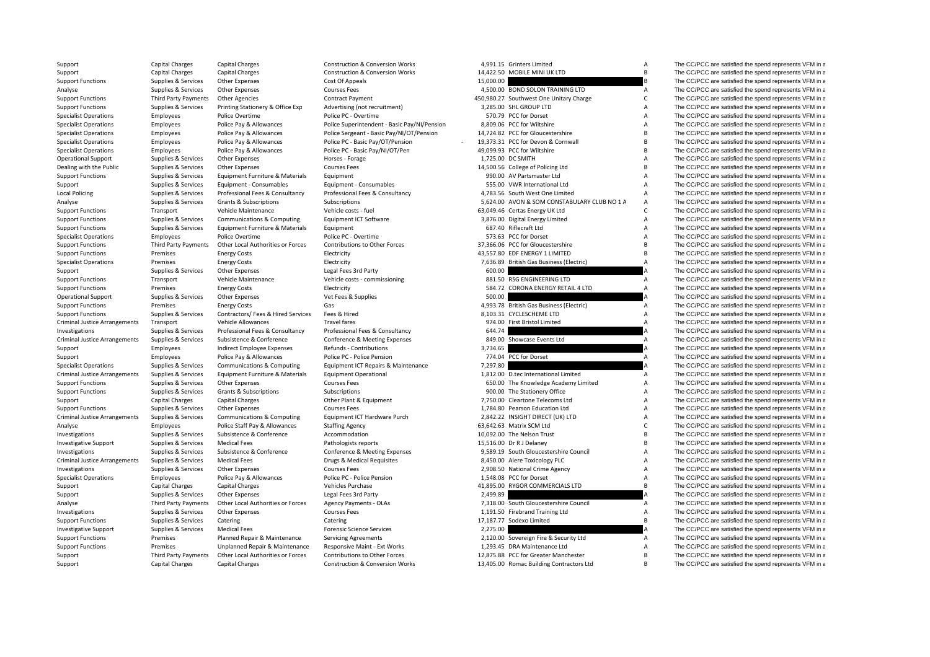| Support                              | Capital Charges      | Capital Charges                    | <b>Construction &amp; Conversion Works</b>   |           | 4,991.15 Grinters Limited                    | A                         | The CC/PCC are satisfied the spend represents VFM in a |
|--------------------------------------|----------------------|------------------------------------|----------------------------------------------|-----------|----------------------------------------------|---------------------------|--------------------------------------------------------|
| Support                              | Capital Charges      | <b>Capital Charges</b>             | Construction & Conversion Works              |           | 14,422.50 MOBILE MINI UK LTD                 | B                         | The CC/PCC are satisfied the spend represents VFM in a |
| <b>Support Functions</b>             | Supplies & Services  | Other Expenses                     | Cost Of Appeals                              | 15,000.00 |                                              |                           | The CC/PCC are satisfied the spend represents VFM in a |
| Analyse                              | Supplies & Services  | <b>Other Expenses</b>              | <b>Courses Fees</b>                          |           | 4,500.00 BOND SOLON TRAINING LTD             | Α                         | The CC/PCC are satisfied the spend represents VFM in a |
| <b>Support Functions</b>             | Third Party Payments | <b>Other Agencies</b>              | <b>Contract Payment</b>                      |           | 450,980.27 Southwest One Unitary Charge      | $\mathsf{C}$              | The CC/PCC are satisfied the spend represents VFM in a |
| <b>Support Functions</b>             | Supplies & Services  | Printing Stationery & Office Exp   | Advertising (not recruitment)                |           | 3,285.00 SHL GROUP LTD                       | A                         | The CC/PCC are satisfied the spend represents VFM in a |
| <b>Specialist Operations</b>         | Employees            | Police Overtime                    | Police PC - Overtime                         |           | 570.79 PCC for Dorset                        | A                         | The CC/PCC are satisfied the spend represents VFM in a |
| <b>Specialist Operations</b>         | Employees            | Police Pay & Allowances            | Police Superintendent - Basic Pay/NI/Pension |           | 8,809.06 PCC for Wiltshire                   | $\overline{A}$            | The CC/PCC are satisfied the spend represents VFM in a |
| <b>Specialist Operations</b>         | Employees            | Police Pay & Allowances            | Police Sergeant - Basic Pay/NI/OT/Pension    |           | 14,724.82 PCC for Gloucestershire            | $\overline{B}$            | The CC/PCC are satisfied the spend represents VFM in a |
| <b>Specialist Operations</b>         | Employees            | Police Pay & Allowances            | Police PC - Basic Pay/OT/Pension             |           | 19,373.31 PCC for Devon & Cornwall           | $\overline{B}$            | The CC/PCC are satisfied the spend represents VFM in a |
| <b>Specialist Operations</b>         | Employees            | Police Pay & Allowances            | Police PC - Basic Pay/NI/OT/Pen              |           | 49,099.93 PCC for Wiltshire                  | $\overline{B}$            | The CC/PCC are satisfied the spend represents VFM in a |
| <b>Operational Support</b>           | Supplies & Services  | <b>Other Expenses</b>              | Horses - Forage                              |           | 1,725.00 DC SMITH                            | A                         | The CC/PCC are satisfied the spend represents VFM in a |
| Dealing with the Public              | Supplies & Services  | Other Expenses                     | <b>Courses Fees</b>                          |           | 14,500.56 College of Policing Ltd            | B                         | The CC/PCC are satisfied the spend represents VFM in a |
| <b>Support Functions</b>             | Supplies & Services  | Equipment Furniture & Materials    | Equipment                                    |           | 990.00 AV Partsmaster Ltd                    | $\boldsymbol{\mathsf{A}}$ | The CC/PCC are satisfied the spend represents VFM in a |
| Support                              | Supplies & Services  | Equipment - Consumables            | Equipment - Consumables                      |           | 555.00 VWR International Ltd                 | A                         | The CC/PCC are satisfied the spend represents VFM in a |
| <b>Local Policing</b>                | Supplies & Services  | Professional Fees & Consultancy    | Professional Fees & Consultancy              |           | 4,783.56 South West One Limited              | A                         | The CC/PCC are satisfied the spend represents VFM in a |
| Analyse                              | Supplies & Services  | Grants & Subscriptions             | Subscriptions                                |           | 5,624.00 AVON & SOM CONSTABULARY CLUB NO 1 A | A                         | The CC/PCC are satisfied the spend represents VFM in a |
| <b>Support Functions</b>             | Transport            | Vehicle Maintenance                | Vehicle costs - fuel                         |           | 63,049.46 Certas Energy UK Ltd               | $\mathsf{C}$              | The CC/PCC are satisfied the spend represents VFM in a |
| <b>Support Functions</b>             | Supplies & Services  | Communications & Computing         | Equipment ICT Software                       |           | 3,876.00 Digital Energy Limited              | $\boldsymbol{\mathsf{A}}$ | The CC/PCC are satisfied the spend represents VFM in a |
| <b>Support Functions</b>             | Supplies & Services  | Equipment Furniture & Materials    | Equipment                                    |           | 687.40 Riflecraft Ltd                        | A                         | The CC/PCC are satisfied the spend represents VFM in a |
| <b>Specialist Operations</b>         | Employees            | Police Overtime                    | Police PC - Overtime                         |           | 573.63 PCC for Dorset                        | A                         | The CC/PCC are satisfied the spend represents VFM in a |
| <b>Support Functions</b>             | Third Party Payments | Other Local Authorities or Forces  | Contributions to Other Forces                |           | 37,366.06 PCC for Gloucestershire            | B                         | The CC/PCC are satisfied the spend represents VFM in a |
| <b>Support Functions</b>             | Premises             | <b>Energy Costs</b>                | Electricity                                  |           | 43,557.80 EDF ENERGY 1 LIMITED               | B                         | The CC/PCC are satisfied the spend represents VFM in a |
| <b>Specialist Operations</b>         | Premises             | <b>Energy Costs</b>                | Electricity                                  |           | 7,636.89 British Gas Business (Electric)     | $\boldsymbol{\mathsf{A}}$ | The CC/PCC are satisfied the spend represents VFM in a |
| Support                              | Supplies & Services  | <b>Other Expenses</b>              | Legal Fees 3rd Party                         | 600.00    |                                              |                           | The CC/PCC are satisfied the spend represents VFM in a |
| <b>Support Functions</b>             | Transport            | Vehicle Maintenance                | Vehicle costs - commissioning                |           | 881.50 RSG ENGINEERING LTD                   | Α                         | The CC/PCC are satisfied the spend represents VFM in a |
| <b>Support Functions</b>             | Premises             | <b>Energy Costs</b>                | Electricity                                  |           | 584.72 CORONA ENERGY RETAIL 4 LTD            | A                         | The CC/PCC are satisfied the spend represents VFM in a |
| <b>Operational Support</b>           | Supplies & Services  | Other Expenses                     | Vet Fees & Supplies                          | 500.00    |                                              |                           | The CC/PCC are satisfied the spend represents VFM in a |
| <b>Support Functions</b>             | Premises             | <b>Energy Costs</b>                | Gas                                          |           | 4,993.78 British Gas Business (Electric)     | A                         | The CC/PCC are satisfied the spend represents VFM in a |
| <b>Support Functions</b>             | Supplies & Services  | Contractors/ Fees & Hired Services | Fees & Hired                                 |           | 8,103.31 CYCLESCHEME LTD                     | A                         | The CC/PCC are satisfied the spend represents VFM in a |
| <b>Criminal Justice Arrangements</b> |                      | Vehicle Allowances                 | <b>Travel fares</b>                          |           | 974.00 First Bristol Limited                 | $\overline{A}$            | The CC/PCC are satisfied the spend represents VFM in a |
|                                      | Transport            |                                    |                                              | 644.74    |                                              |                           |                                                        |
| Investigations                       | Supplies & Services  | Professional Fees & Consultancy    | Professional Fees & Consultancy              |           | 849.00 Showcase Events Ltd                   |                           | The CC/PCC are satisfied the spend represents VFM in a |
| <b>Criminal Justice Arrangements</b> | Supplies & Services  | Subsistence & Conference           | Conference & Meeting Expenses                |           |                                              | A                         | The CC/PCC are satisfied the spend represents VFM in a |
| Support                              | Employees            | <b>Indirect Employee Expenses</b>  | Refunds - Contributions                      | 3,734.65  |                                              |                           | The CC/PCC are satisfied the spend represents VFM in a |
| Support                              | Employees            | Police Pay & Allowances            | Police PC - Police Pension                   |           | 774.04 PCC for Dorset                        | $\overline{A}$<br>A       | The CC/PCC are satisfied the spend represents VFM in a |
| <b>Specialist Operations</b>         | Supplies & Services  | Communications & Computing         | Equipment ICT Repairs & Maintenance          | 7,297.80  |                                              |                           | The CC/PCC are satisfied the spend represents VFM in a |
| <b>Criminal Justice Arrangements</b> | Supplies & Services  | Equipment Furniture & Materials    | <b>Equipment Operational</b>                 |           | 1,812.00 D.tec International Limited         | $\overline{A}$            | The CC/PCC are satisfied the spend represents VFM in a |
| <b>Support Functions</b>             | Supplies & Services  | <b>Other Expenses</b>              | Courses Fees                                 |           | 650.00 The Knowledge Academy Limited         | $\boldsymbol{\mathsf{A}}$ | The CC/PCC are satisfied the spend represents VFM in a |
| <b>Support Functions</b>             | Supplies & Services  | Grants & Subscriptions             | Subscriptions                                |           | 900.00 The Stationery Office                 | $\boldsymbol{\mathsf{A}}$ | The CC/PCC are satisfied the spend represents VFM in a |
| Support                              | Capital Charges      | <b>Capital Charges</b>             | Other Plant & Equipment                      |           | 7,750.00 Cleartone Telecoms Ltd              | $\boldsymbol{\mathsf{A}}$ | The CC/PCC are satisfied the spend represents VFM in a |
| <b>Support Functions</b>             | Supplies & Services  | <b>Other Expenses</b>              | <b>Courses Fees</b>                          |           | 1.784.80 Pearson Education Ltd               | $\boldsymbol{\mathsf{A}}$ | The CC/PCC are satisfied the spend represents VFM in a |
| <b>Criminal Justice Arrangements</b> | Supplies & Services  | Communications & Computing         | Equipment ICT Hardware Purch                 |           | 2,842.22 INSIGHT DIRECT (UK) LTD             | A                         | The CC/PCC are satisfied the spend represents VFM in a |
| Analyse                              | Employees            | Police Staff Pay & Allowances      | <b>Staffing Agency</b>                       |           | 63,642.63 Matrix SCM Ltd                     | $\mathsf{C}$              | The CC/PCC are satisfied the spend represents VFM in a |
| Investigations                       | Supplies & Services  | Subsistence & Conference           | Accommodation                                |           | 10,092.00 The Nelson Trust                   | $\overline{B}$            | The CC/PCC are satisfied the spend represents VFM in a |
| <b>Investigative Support</b>         | Supplies & Services  | <b>Medical Fees</b>                | Pathologists reports                         |           | 15,516.00 Dr R J Delaney                     | $\overline{B}$            | The CC/PCC are satisfied the spend represents VFM in a |
| Investigations                       | Supplies & Services  | Subsistence & Conference           | Conference & Meeting Expenses                |           | 9,589.19 South Gloucestershire Council       | $\boldsymbol{\mathsf{A}}$ | The CC/PCC are satisfied the spend represents VFM in a |
| <b>Criminal Justice Arrangements</b> | Supplies & Services  | <b>Medical Fees</b>                | Drugs & Medical Requisites                   |           | 8,450.00 Alere Toxicology PLC                | A                         | The CC/PCC are satisfied the spend represents VFM in a |
| Investigations                       | Supplies & Services  | <b>Other Expenses</b>              | <b>Courses Fees</b>                          |           | 2,908.50 National Crime Agency               | $\boldsymbol{\mathsf{A}}$ | The CC/PCC are satisfied the spend represents VFM in a |
| <b>Specialist Operations</b>         | Employees            | Police Pay & Allowances            | Police PC - Police Pension                   |           | 1,548.08 PCC for Dorset                      | $\boldsymbol{\mathsf{A}}$ | The CC/PCC are satisfied the spend represents VFM in a |
| Support                              | Capital Charges      | <b>Capital Charges</b>             | <b>Vehicles Purchase</b>                     |           | 41,895.00 RYGOR COMMERCIALS LTD              | $\mathsf{B}$              | The CC/PCC are satisfied the spend represents VFM in a |
| Support                              | Supplies & Services  | <b>Other Expenses</b>              | Legal Fees 3rd Party                         | 2.499.89  |                                              |                           | The CC/PCC are satisfied the spend represents VFM in a |
| Analyse                              | Third Party Payments | Other Local Authorities or Forces  | Agency Payments - OLAs                       |           | 7,318.00 South Gloucestershire Council       | $\overline{A}$            | The CC/PCC are satisfied the spend represents VFM in a |
| Investigations                       | Supplies & Services  | Other Expenses                     | <b>Courses Fees</b>                          |           | 1,191.50 Firebrand Training Ltd              | $\boldsymbol{\mathsf{A}}$ | The CC/PCC are satisfied the spend represents VFM in a |
| <b>Support Functions</b>             | Supplies & Services  | Catering                           | Catering                                     |           | 17,187.77 Sodexo Limited                     | $\mathsf{B}$              | The CC/PCC are satisfied the spend represents VFM in a |
| <b>Investigative Support</b>         | Supplies & Services  | <b>Medical Fees</b>                | <b>Forensic Science Services</b>             | 2,275.00  |                                              |                           | The CC/PCC are satisfied the spend represents VFM in a |
| <b>Support Functions</b>             | Premises             | Planned Repair & Maintenance       | <b>Servicing Agreements</b>                  |           | 2,120.00 Sovereign Fire & Security Ltd       | $\overline{A}$            | The CC/PCC are satisfied the spend represents VFM in a |
| <b>Support Functions</b>             | Premises             | Unplanned Repair & Maintenance     | Responsive Maint - Ext Works                 |           | 1.293.45 DRA Maintenance Ltd                 | $\overline{A}$            | The CC/PCC are satisfied the spend represents VFM in a |
| Support                              | Third Party Payments | Other Local Authorities or Forces  | Contributions to Other Forces                |           | 12.875.88 PCC for Greater Manchester         | <b>B</b>                  | The CC/PCC are satisfied the spend represents VFM in a |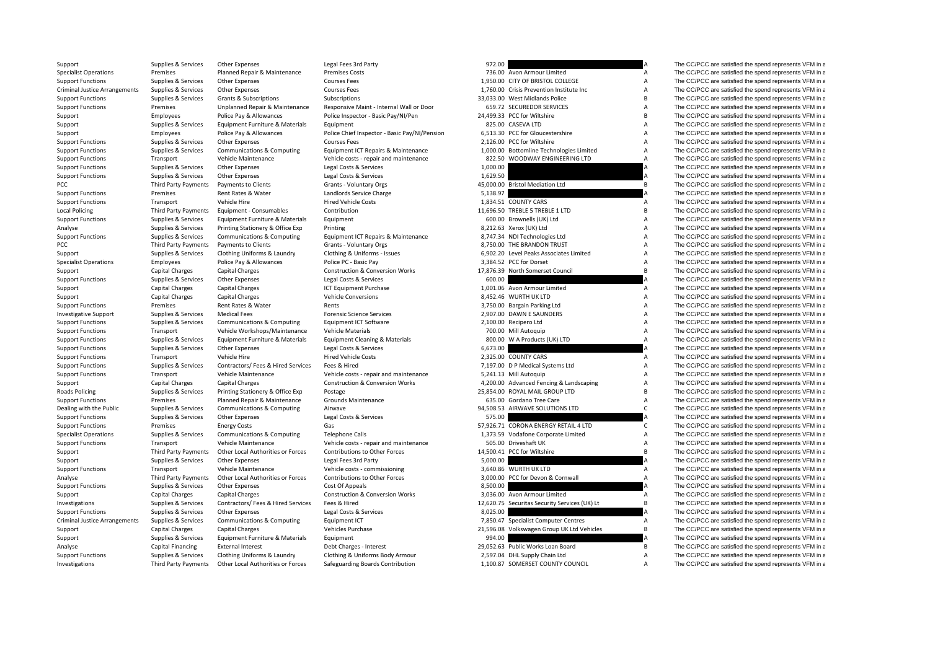| Support                              | Supplies & Services                        | <b>Other Expenses</b>              | Legal Fees 3rd Party                          | 972.00   |                                               |                           | The CC/PCC are satisfied the spend represents VFM in a |
|--------------------------------------|--------------------------------------------|------------------------------------|-----------------------------------------------|----------|-----------------------------------------------|---------------------------|--------------------------------------------------------|
| <b>Specialist Operations</b>         | Premises                                   | Planned Repair & Maintenance       | <b>Premises Costs</b>                         |          | 736.00 Avon Armour Limited                    | $\overline{A}$            | The CC/PCC are satisfied the spend represents VFM in a |
| <b>Support Functions</b>             | Supplies & Services                        | <b>Other Expenses</b>              | <b>Courses Fees</b>                           |          | 1,950.00 CITY OF BRISTOL COLLEGE              | A                         | The CC/PCC are satisfied the spend represents VFM in a |
| <b>Criminal Justice Arrangements</b> | Supplies & Services                        | Other Expenses                     | <b>Courses Fees</b>                           |          | 1.760.00 Crisis Prevention Institute Inc.     | $\boldsymbol{\mathsf{A}}$ | The CC/PCC are satisfied the spend represents VFM in a |
| <b>Support Functions</b>             | Supplies & Services                        | <b>Grants &amp; Subscriptions</b>  | Subscriptions                                 |          | 33.033.00 West Midlands Police                | B                         | The CC/PCC are satisfied the spend represents VFM in a |
| <b>Support Functions</b>             | Premises                                   | Unplanned Repair & Maintenance     | Responsive Maint - Internal Wall or Door      |          | 659.72 SECUREDOR SERVICES                     | $\overline{A}$            | The CC/PCC are satisfied the spend represents VFM in a |
| Support                              | Employees                                  | Police Pay & Allowances            | Police Inspector - Basic Pay/NI/Pen           |          | 24,499.33 PCC for Wiltshire                   | $\sf{B}$                  | The CC/PCC are satisfied the spend represents VFM in a |
| Support                              | Supplies & Services                        | Equipment Furniture & Materials    | Equipment                                     |          | 825.00 CASEVA LTD                             | $\boldsymbol{\mathsf{A}}$ | The CC/PCC are satisfied the spend represents VFM in a |
| Support                              | Employees                                  | Police Pay & Allowances            | Police Chief Inspector - Basic Pay/NI/Pension |          | 6,513.30 PCC for Gloucestershire              | A                         | The CC/PCC are satisfied the spend represents VFM in a |
| <b>Support Functions</b>             | Supplies & Services                        | Other Expenses                     | <b>Courses Fees</b>                           |          | 2.126.00 PCC for Wiltshire                    | $\overline{A}$            | The CC/PCC are satisfied the spend represents VFM in a |
| <b>Support Functions</b>             | Supplies & Services                        | Communications & Computing         | Equipment ICT Repairs & Maintenance           |          | 1,000.00 Bottomline Technologies Limited      | $\overline{A}$            | The CC/PCC are satisfied the spend represents VFM in a |
| <b>Support Functions</b>             | Transport                                  | Vehicle Maintenance                | Vehicle costs - repair and maintenance        |          | 822.50 WOODWAY ENGINEERING LTD                | A                         | The CC/PCC are satisfied the spend represents VFM in a |
| <b>Support Functions</b>             | Supplies & Services                        | Other Expenses                     | Legal Costs & Services                        | 1,000.00 |                                               | A                         | The CC/PCC are satisfied the spend represents VFM in a |
|                                      |                                            |                                    |                                               | 1,629.50 |                                               | A                         | The CC/PCC are satisfied the spend represents VFM in a |
| <b>Support Functions</b>             | Supplies & Services                        | Other Expenses                     | Legal Costs & Services                        |          |                                               | B                         |                                                        |
| PCC                                  | Third Party Payments                       | Payments to Clients                | Grants - Voluntary Orgs                       |          | 45,000.00 Bristol Mediation Ltd               |                           | The CC/PCC are satisfied the spend represents VFM in a |
| <b>Support Functions</b>             | Premises                                   | Rent Rates & Water                 | Landlords Service Charge                      | 5,138.97 |                                               |                           | The CC/PCC are satisfied the spend represents VFM in a |
| <b>Support Functions</b>             | Transport                                  | Vehicle Hire                       | <b>Hired Vehicle Costs</b>                    |          | 1,834.51 COUNTY CARS                          | $\overline{A}$            | The CC/PCC are satisfied the spend represents VFM in a |
| <b>Local Policing</b>                | Third Party Payments                       | Equipment - Consumables            | Contribution                                  |          | 11,696.50 TREBLE 5 TREBLE 1 LTD               | B                         | The CC/PCC are satisfied the spend represents VFM in a |
| <b>Support Functions</b>             | Supplies & Services                        | Equipment Furniture & Materials    | Equipment                                     |          | 600.00 Brownells (UK) Ltd                     | $\boldsymbol{\mathsf{A}}$ | The CC/PCC are satisfied the spend represents VFM in a |
| Analyse                              | Supplies & Services                        | Printing Stationery & Office Exp   | Printing                                      |          | 8,212.63 Xerox (UK) Ltd                       | A                         | The CC/PCC are satisfied the spend represents VFM in a |
| <b>Support Functions</b>             | Supplies & Services                        | Communications & Computing         | Equipment ICT Repairs & Maintenance           |          | 8,747.34 NDI Technologies Ltd                 | A                         | The CC/PCC are satisfied the spend represents VFM in a |
| PCC                                  | Third Party Payments                       | <b>Payments to Clients</b>         | Grants - Voluntary Orgs                       |          | 8,750.00 THE BRANDON TRUST                    | A                         | The CC/PCC are satisfied the spend represents VFM in a |
| Support                              | Supplies & Services                        | Clothing Uniforms & Laundry        | Clothing & Uniforms - Issues                  |          | 6,902.20 Level Peaks Associates Limited       | A                         | The CC/PCC are satisfied the spend represents VFM in a |
| <b>Specialist Operations</b>         | Employees                                  | Police Pay & Allowances            | Police PC - Basic Pay                         |          | 3,384.52 PCC for Dorset                       | A                         | The CC/PCC are satisfied the spend represents VFM in a |
| Support                              | Capital Charges                            | <b>Capital Charges</b>             | <b>Construction &amp; Conversion Works</b>    |          | 17,876.39 North Somerset Council              | $\mathsf{B}$              | The CC/PCC are satisfied the spend represents VFM in a |
| <b>Support Functions</b>             | Supplies & Services                        | Other Expenses                     | Legal Costs & Services                        | 600.00   |                                               |                           | The CC/PCC are satisfied the spend represents VFM in a |
| Support                              | <b>Capital Charges</b>                     | <b>Capital Charges</b>             | ICT Equipment Purchase                        |          | 1,001.06 Avon Armour Limited                  | A                         | The CC/PCC are satisfied the spend represents VFM in a |
| Support                              | <b>Capital Charges</b>                     | Capital Charges                    | <b>Vehicle Conversions</b>                    |          | 8,452.46 WURTH UK LTD                         | A                         | The CC/PCC are satisfied the spend represents VFM in a |
| <b>Support Functions</b>             | Premises                                   | Rent Rates & Water                 | Rents                                         |          | 3,750.00 Bargain Parking Ltd                  | A                         | The CC/PCC are satisfied the spend represents VFM in a |
| <b>Investigative Support</b>         | Supplies & Services                        | <b>Medical Fees</b>                | <b>Forensic Science Services</b>              |          | 2,907.00 DAWN E SAUNDERS                      | A                         | The CC/PCC are satisfied the spend represents VFM in a |
| <b>Support Functions</b>             | Supplies & Services                        | Communications & Computing         | Equipment ICT Software                        |          | 2,100.00 Recipero Ltd                         | $\overline{A}$            | The CC/PCC are satisfied the spend represents VFM in a |
| <b>Support Functions</b>             | Transport                                  | Vehicle Workshops/Maintenance      | <b>Vehicle Materials</b>                      |          | 700.00 Mill Autoquip                          | $\boldsymbol{\mathsf{A}}$ | The CC/PCC are satisfied the spend represents VFM in a |
| <b>Support Functions</b>             | Supplies & Services                        | Equipment Furniture & Materials    | <b>Equipment Cleaning &amp; Materials</b>     |          | 800.00 W A Products (UK) LTD                  | A                         | The CC/PCC are satisfied the spend represents VFM in a |
| <b>Support Functions</b>             | Supplies & Services                        | Other Expenses                     | Legal Costs & Services                        | 6,673.00 |                                               |                           | The CC/PCC are satisfied the spend represents VFM in a |
| <b>Support Functions</b>             | Transport                                  | Vehicle Hire                       | <b>Hired Vehicle Costs</b>                    |          | 2,325.00 COUNTY CARS                          | A                         | The CC/PCC are satisfied the spend represents VFM in a |
| <b>Support Functions</b>             | Supplies & Services                        | Contractors/ Fees & Hired Services | Fees & Hired                                  |          | 7,197.00 D P Medical Systems Ltd              | A                         | The CC/PCC are satisfied the spend represents VFM in a |
| <b>Support Functions</b>             | Transport                                  | Vehicle Maintenance                | Vehicle costs - repair and maintenance        |          | 5,241.13 Mill Autoquip                        | A                         | The CC/PCC are satisfied the spend represents VFM in a |
| Support                              | Capital Charges                            | <b>Capital Charges</b>             | <b>Construction &amp; Conversion Works</b>    |          | 4,200.00 Advanced Fencing & Landscaping       | $\boldsymbol{\mathsf{A}}$ | The CC/PCC are satisfied the spend represents VFM in a |
| <b>Roads Policing</b>                | Supplies & Services                        | Printing Stationery & Office Exp   | Postage                                       |          | 25,854.00 ROYAL MAIL GROUP LTD                | $\overline{B}$            | The CC/PCC are satisfied the spend represents VFM in a |
| <b>Support Functions</b>             | Premises                                   | Planned Repair & Maintenance       | Grounds Maintenance                           |          | 635.00 Gordano Tree Care                      | $\boldsymbol{\mathsf{A}}$ | The CC/PCC are satisfied the spend represents VFM in a |
| Dealing with the Public              |                                            |                                    | Airwave                                       |          | 94,508.53 AIRWAVE SOLUTIONS LTD               | $\mathsf{C}$              | The CC/PCC are satisfied the spend represents VFM in a |
|                                      | Supplies & Services<br>Supplies & Services | Communications & Computing         | Legal Costs & Services                        | 575.00   |                                               | А                         | The CC/PCC are satisfied the spend represents VFM in a |
| <b>Support Functions</b>             | Premises                                   | Other Expenses                     |                                               |          | 57,926.71 CORONA ENERGY RETAIL 4 LTD          | $\mathsf{C}$              |                                                        |
| <b>Support Functions</b>             |                                            | <b>Energy Costs</b>                | Gas                                           |          |                                               |                           | The CC/PCC are satisfied the spend represents VFM in a |
| <b>Specialist Operations</b>         | Supplies & Services                        | Communications & Computing         | <b>Telephone Calls</b>                        |          | 1,373.59 Vodafone Corporate Limited           | $\boldsymbol{\mathsf{A}}$ | The CC/PCC are satisfied the spend represents VFM in a |
| <b>Support Functions</b>             | Transport                                  | Vehicle Maintenance                | Vehicle costs - repair and maintenance        |          | 505.00 Driveshaft UK                          | $\boldsymbol{\mathsf{A}}$ | The CC/PCC are satisfied the spend represents VFM in a |
| Support                              | Third Party Payments                       | Other Local Authorities or Forces  | Contributions to Other Forces                 |          | 14,500.41 PCC for Wiltshire                   | B                         | The CC/PCC are satisfied the spend represents VFM in a |
| Support                              | Supplies & Services                        | <b>Other Expenses</b>              | Legal Fees 3rd Party                          | 5,000.00 |                                               |                           | The CC/PCC are satisfied the spend represents VFM in a |
| <b>Support Functions</b>             | Transport                                  | Vehicle Maintenance                | Vehicle costs - commissioning                 |          | 3,640.86 WURTH UK LTD                         | A                         | The CC/PCC are satisfied the spend represents VFM in a |
| Analyse                              | Third Party Payments                       | Other Local Authorities or Forces  | Contributions to Other Forces                 |          | 3,000.00 PCC for Devon & Cornwall             | $\overline{A}$            | The CC/PCC are satisfied the spend represents VFM in a |
| <b>Support Functions</b>             | Supplies & Services                        | Other Expenses                     | Cost Of Appeals                               | 8,500.00 |                                               |                           | The CC/PCC are satisfied the spend represents VFM in a |
| Support                              | <b>Capital Charges</b>                     | <b>Capital Charges</b>             | <b>Construction &amp; Conversion Works</b>    |          | 3,036.00 Avon Armour Limited                  | A                         | The CC/PCC are satisfied the spend represents VFM in a |
| Investigations                       | Supplies & Services                        | Contractors/ Fees & Hired Services | Fees & Hired                                  |          | 12,620.75 Securitas Security Services (UK) Lt | $\sf{B}$                  | The CC/PCC are satisfied the spend represents VFM in a |
| <b>Support Functions</b>             | Supplies & Services                        | Other Expenses                     | Legal Costs & Services                        | 8,025.00 |                                               |                           | The CC/PCC are satisfied the spend represents VFM in a |
| <b>Criminal Justice Arrangements</b> | Supplies & Services                        | Communications & Computing         | Equipment ICT                                 |          | 7,850.47 Specialist Computer Centres          | $\overline{A}$            | The CC/PCC are satisfied the spend represents VFM in a |
| Support                              | Capital Charges                            | <b>Capital Charges</b>             | Vehicles Purchase                             |          | 21,596.08 Volkswagen Group UK Ltd Vehicles    | B                         | The CC/PCC are satisfied the spend represents VFM in a |
| Support                              | Supplies & Services                        | Equipment Furniture & Materials    | Equipment                                     | 994.00   |                                               |                           | The CC/PCC are satisfied the spend represents VFM in a |
| Analyse                              | Capital Financing                          | <b>External Interest</b>           | Debt Charges - Interest                       |          | 29,052.63 Public Works Loan Board             | B                         | The CC/PCC are satisfied the spend represents VFM in a |
| <b>Support Functions</b>             | Supplies & Services                        | Clothing Uniforms & Laundry        | Clothing & Uniforms Body Armour               |          | 2,597.04 DHL Supply Chain Ltd                 | $\overline{A}$            | The CC/PCC are satisfied the spend represents VFM in a |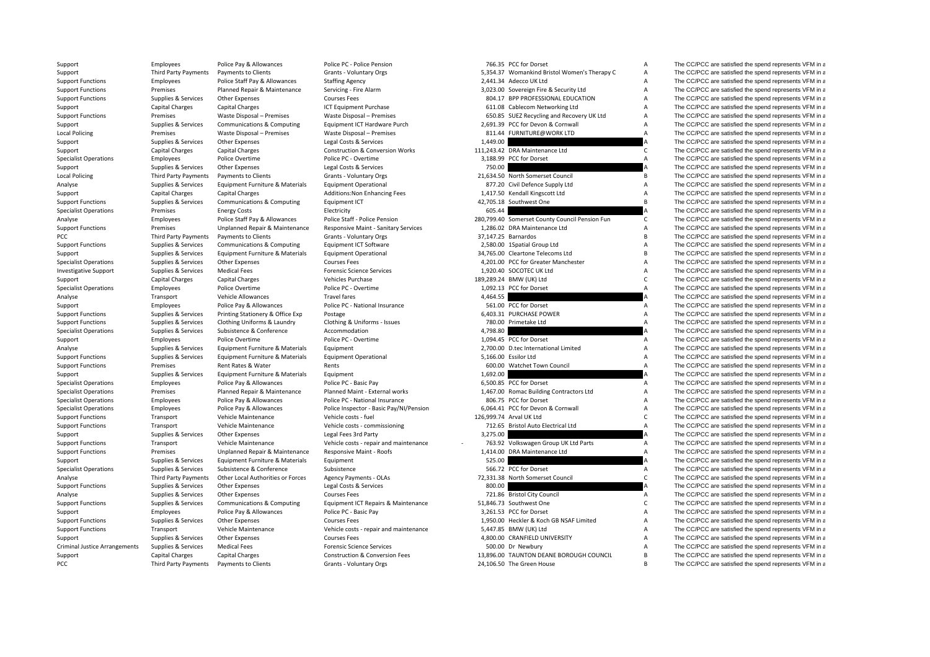| Support                              | Employees              | Police Pay & Allowances           | Police PC - Police Pension                 |          | 766.35 PCC for Dorset                          | Α                         | The CC/PCC are satisfied the spend represents VFM in a |
|--------------------------------------|------------------------|-----------------------------------|--------------------------------------------|----------|------------------------------------------------|---------------------------|--------------------------------------------------------|
| Support                              | Third Party Payments   | Payments to Clients               | Grants - Voluntary Orgs                    |          | 5,354.37 Womankind Bristol Women's Therapy C   | A                         | The CC/PCC are satisfied the spend represents VFM in a |
| <b>Support Functions</b>             | Employees              | Police Staff Pay & Allowances     | <b>Staffing Agency</b>                     |          | 2,441.34 Adecco UK Ltd                         | $\boldsymbol{\mathsf{A}}$ | The CC/PCC are satisfied the spend represents VFM in a |
| <b>Support Functions</b>             | Premises               | Planned Repair & Maintenance      | Servicing - Fire Alarm                     |          | 3,023.00 Sovereign Fire & Security Ltd         | $\overline{A}$            | The CC/PCC are satisfied the spend represents VFM in a |
| <b>Support Functions</b>             | Supplies & Services    | Other Expenses                    | <b>Courses Fees</b>                        |          | 804.17 BPP PROFESSIONAL EDUCATION              | A                         | The CC/PCC are satisfied the spend represents VFM in a |
| Support                              | <b>Capital Charges</b> | <b>Capital Charges</b>            | ICT Equipment Purchase                     |          | 611.08 Cablecom Networking Ltd                 | A                         | The CC/PCC are satisfied the spend represents VFM in a |
| <b>Support Functions</b>             | Premises               | Waste Disposal - Premises         | Waste Disposal - Premises                  |          | 650.85 SUEZ Recycling and Recovery UK Ltd      | $\boldsymbol{\mathsf{A}}$ | The CC/PCC are satisfied the spend represents VFM in a |
| Support                              | Supplies & Services    | Communications & Computing        | Equipment ICT Hardware Purch               |          | 2,691.39 PCC for Devon & Cornwall              | $\boldsymbol{\mathsf{A}}$ | The CC/PCC are satisfied the spend represents VFM in a |
| <b>Local Policing</b>                | Premises               | Waste Disposal - Premises         | Waste Disposal - Premises                  |          | 811.44 FURNITURE@WORK LTD                      | $\boldsymbol{\mathsf{A}}$ | The CC/PCC are satisfied the spend represents VFM in a |
| Support                              | Supplies & Services    | Other Expenses                    | Legal Costs & Services                     | 1,449.00 |                                                |                           | The CC/PCC are satisfied the spend represents VFM in a |
| Support                              | <b>Capital Charges</b> | <b>Capital Charges</b>            | <b>Construction &amp; Conversion Works</b> |          | 111,243.42 DRA Maintenance Ltd                 | $\mathsf{C}$              | The CC/PCC are satisfied the spend represents VFM in a |
| <b>Specialist Operations</b>         | Employees              | Police Overtime                   | Police PC - Overtime                       |          | 3,188.99 PCC for Dorset                        | $\overline{A}$            | The CC/PCC are satisfied the spend represents VFM in a |
| Support                              | Supplies & Services    | Other Expenses                    | Legal Costs & Services                     | 750.00   |                                                |                           | The CC/PCC are satisfied the spend represents VFM in a |
| <b>Local Policing</b>                | Third Party Payments   | Payments to Clients               | Grants - Voluntary Orgs                    |          | 21,634.50 North Somerset Council               | В                         | The CC/PCC are satisfied the spend represents VFM in a |
| Analyse                              | Supplies & Services    | Equipment Furniture & Materials   | <b>Equipment Operational</b>               |          | 877.20 Civil Defence Supply Ltd                | $\boldsymbol{\mathsf{A}}$ | The CC/PCC are satisfied the spend represents VFM in a |
| Support                              | Capital Charges        | <b>Capital Charges</b>            | Additions: Non Enhancing Fees              |          | 1,417.50 Kendall Kingscott Ltd                 | $\boldsymbol{\mathsf{A}}$ | The CC/PCC are satisfied the spend represents VFM in a |
| <b>Support Functions</b>             | Supplies & Services    | Communications & Computing        | Equipment ICT                              |          | 42,705.18 Southwest One                        | $\sf{B}$                  | The CC/PCC are satisfied the spend represents VFM in a |
|                                      |                        |                                   |                                            |          |                                                |                           |                                                        |
| <b>Specialist Operations</b>         | Premises               | <b>Energy Costs</b>               | Electricity                                | 605.44   |                                                |                           | The CC/PCC are satisfied the spend represents VFM in a |
| Analyse                              | Employees              | Police Staff Pay & Allowances     | Police Staff - Police Pension              |          | 280,799.40 Somerset County Council Pension Fun | C                         | The CC/PCC are satisfied the spend represents VFM in a |
| <b>Support Functions</b>             | Premises               | Unplanned Repair & Maintenance    | Responsive Maint - Sanitary Services       |          | 1,286.02 DRA Maintenance Ltd                   | A                         | The CC/PCC are satisfied the spend represents VFM in a |
| PCC                                  | Third Party Payments   | Payments to Clients               | Grants - Voluntary Orgs                    |          | 37.147.25 Barnardos                            | $\overline{B}$            | The CC/PCC are satisfied the spend represents VFM in a |
| <b>Support Functions</b>             | Supplies & Services    | Communications & Computing        | Equipment ICT Software                     |          | 2,580.00 1Spatial Group Ltd                    | A                         | The CC/PCC are satisfied the spend represents VFM in a |
| Support                              | Supplies & Services    | Equipment Furniture & Materials   | <b>Equipment Operational</b>               |          | 34,765.00 Cleartone Telecoms Ltd               | B                         | The CC/PCC are satisfied the spend represents VFM in a |
| <b>Specialist Operations</b>         | Supplies & Services    | Other Expenses                    | <b>Courses Fees</b>                        |          | 4,201.00 PCC for Greater Manchester            | $\boldsymbol{\mathsf{A}}$ | The CC/PCC are satisfied the spend represents VFM in a |
| <b>Investigative Support</b>         | Supplies & Services    | <b>Medical Fees</b>               | <b>Forensic Science Services</b>           |          | 1.920.40 SOCOTEC UK Ltd                        | $\overline{A}$            | The CC/PCC are satisfied the spend represents VFM in a |
| Support                              | Capital Charges        | <b>Capital Charges</b>            | Vehicles Purchase                          |          | 189,289.24 BMW (UK) Ltd                        | $\mathsf{C}$              | The CC/PCC are satisfied the spend represents VFM in a |
| <b>Specialist Operations</b>         | Employees              | Police Overtime                   | Police PC - Overtime                       |          | 1,092.13 PCC for Dorset                        | $\overline{A}$            | The CC/PCC are satisfied the spend represents VFM in a |
| Analyse                              | Transport              | Vehicle Allowances                | <b>Travel fares</b>                        | 4,464.55 |                                                |                           | The CC/PCC are satisfied the spend represents VFM in a |
| Support                              | Employees              | Police Pay & Allowances           | Police PC - National Insurance             |          | 561.00 PCC for Dorset                          | A                         | The CC/PCC are satisfied the spend represents VFM in a |
| <b>Support Functions</b>             | Supplies & Services    | Printing Stationery & Office Exp  | Postage                                    |          | 6,403.31 PURCHASE POWER                        | $\mathsf A$               | The CC/PCC are satisfied the spend represents VFM in a |
| <b>Support Functions</b>             | Supplies & Services    | Clothing Uniforms & Laundry       | Clothing & Uniforms - Issues               |          | 780.00 Primetake Ltd                           | A                         | The CC/PCC are satisfied the spend represents VFM in a |
| <b>Specialist Operations</b>         | Supplies & Services    | Subsistence & Conference          | Accommodation                              | 4,798.80 |                                                |                           | The CC/PCC are satisfied the spend represents VFM in a |
| Support                              | Employees              | Police Overtime                   | Police PC - Overtime                       |          | 1.094.45 PCC for Dorset                        | $\overline{A}$            | The CC/PCC are satisfied the spend represents VFM in a |
| Analyse                              | Supplies & Services    | Equipment Furniture & Materials   | Equipment                                  |          | 2,700.00 D.tec International Limited           | $\boldsymbol{\mathsf{A}}$ | The CC/PCC are satisfied the spend represents VFM in a |
|                                      | Supplies & Services    | Equipment Furniture & Materials   | <b>Equipment Operational</b>               |          | 5,166.00 Essilor Ltd                           | A                         | The CC/PCC are satisfied the spend represents VFM in a |
| <b>Support Functions</b>             | Premises               | Rent Rates & Water                | Rents                                      |          |                                                | A                         | The CC/PCC are satisfied the spend represents VFM in a |
| <b>Support Functions</b>             |                        | Equipment Furniture & Materials   |                                            | 1,692.00 | 600.00 Watchet Town Council                    |                           |                                                        |
| Support                              | Supplies & Services    |                                   | Equipment                                  |          |                                                |                           | The CC/PCC are satisfied the spend represents VFM in a |
| <b>Specialist Operations</b>         | Employees              | Police Pay & Allowances           | Police PC - Basic Pay                      |          | 6,500.85 PCC for Dorset                        | $\overline{A}$            | The CC/PCC are satisfied the spend represents VFM in a |
| <b>Specialist Operations</b>         | Premises               | Planned Repair & Maintenance      | Planned Maint - External works             |          | 1,467.00 Romac Building Contractors Ltd        | A                         | The CC/PCC are satisfied the spend represents VFM in a |
| <b>Specialist Operations</b>         | Employees              | Police Pay & Allowances           | Police PC - National Insurance             |          | 806.75 PCC for Dorset                          | A                         | The CC/PCC are satisfied the spend represents VFM in a |
| <b>Specialist Operations</b>         | Employees              | Police Pay & Allowances           | Police Inspector - Basic Pay/NI/Pension    |          | 6.064.41 PCC for Devon & Cornwall              | $\boldsymbol{\mathsf{A}}$ | The CC/PCC are satisfied the spend represents VFM in a |
| <b>Support Functions</b>             | Transport              | Vehicle Maintenance               | Vehicle costs - fuel                       |          | 126,999.74 Arval UK Ltd                        | $\mathsf{C}$              | The CC/PCC are satisfied the spend represents VFM in a |
| <b>Support Functions</b>             | Transport              | Vehicle Maintenance               | Vehicle costs - commissioning              |          | 712.65 Bristol Auto Electrical Ltd             | $\overline{A}$            | The CC/PCC are satisfied the spend represents VFM in a |
| Support                              | Supplies & Services    | Other Expenses                    | Legal Fees 3rd Party                       | 3,275.00 |                                                |                           | The CC/PCC are satisfied the spend represents VFM in a |
| <b>Support Functions</b>             | Transport              | Vehicle Maintenance               | Vehicle costs - repair and maintenance     |          | 763.92 Volkswagen Group UK Ltd Parts           | $\overline{A}$            | The CC/PCC are satisfied the spend represents VFM in a |
| <b>Support Functions</b>             | Premises               | Unplanned Repair & Maintenance    | Responsive Maint - Roofs                   |          | 1,414.00 DRA Maintenance Ltd                   | $\overline{A}$            | The CC/PCC are satisfied the spend represents VFM in a |
| Support                              | Supplies & Services    | Equipment Furniture & Materials   | Equipment                                  | 525.00   |                                                |                           | The CC/PCC are satisfied the spend represents VFM in a |
| <b>Specialist Operations</b>         | Supplies & Services    | Subsistence & Conference          | Subsistence                                |          | 566.72 PCC for Dorset                          | $\overline{A}$            | The CC/PCC are satisfied the spend represents VFM in a |
| Analyse                              | Third Party Payments   | Other Local Authorities or Forces | Agency Payments - OLAs                     |          | 72,331.38 North Somerset Council               | $\mathsf{C}$              | The CC/PCC are satisfied the spend represents VFM in a |
| <b>Support Functions</b>             | Supplies & Services    | Other Expenses                    | Legal Costs & Services                     | 800.00   |                                                |                           | The CC/PCC are satisfied the spend represents VFM in a |
| Analyse                              | Supplies & Services    | Other Expenses                    | <b>Courses Fees</b>                        |          | 721.86 Bristol City Council                    | A                         | The CC/PCC are satisfied the spend represents VFM in a |
| <b>Support Functions</b>             | Supplies & Services    | Communications & Computing        | Equipment ICT Repairs & Maintenance        |          | 51,846.73 Southwest One                        | $\mathsf{C}$              | The CC/PCC are satisfied the spend represents VFM in a |
| Support                              | Employees              | Police Pay & Allowances           | Police PC - Basic Pay                      |          | 3,261.53 PCC for Dorset                        | $\boldsymbol{\mathsf{A}}$ | The CC/PCC are satisfied the spend represents VFM in a |
| <b>Support Functions</b>             | Supplies & Services    | <b>Other Expenses</b>             | <b>Courses Fees</b>                        |          | 1,950.00 Heckler & Koch GB NSAF Limited        | $\overline{A}$            | The CC/PCC are satisfied the spend represents VFM in a |
| <b>Support Functions</b>             | Transport              | Vehicle Maintenance               | Vehicle costs - repair and maintenance     |          | 5,447.85 BMW (UK) Ltd                          | $\boldsymbol{\mathsf{A}}$ | The CC/PCC are satisfied the spend represents VFM in a |
| Support                              | Supplies & Services    | <b>Other Expenses</b>             | <b>Courses Fees</b>                        |          | 4,800.00 CRANFIELD UNIVERSITY                  | A                         | The CC/PCC are satisfied the spend represents VFM in a |
| <b>Criminal Justice Arrangements</b> | Supplies & Services    | <b>Medical Fees</b>               | <b>Forensic Science Services</b>           |          | 500.00 Dr Newbury                              | $\overline{A}$            | The CC/PCC are satisfied the spend represents VFM in a |
| Support                              | Capital Charges        | <b>Capital Charges</b>            | <b>Construction &amp; Conversion Fees</b>  |          | 13,896.00 TAUNTON DEANE BOROUGH COUNCIL        | $\mathsf{B}$              | The CC/PCC are satisfied the spend represents VFM in a |
|                                      |                        |                                   |                                            |          |                                                |                           |                                                        |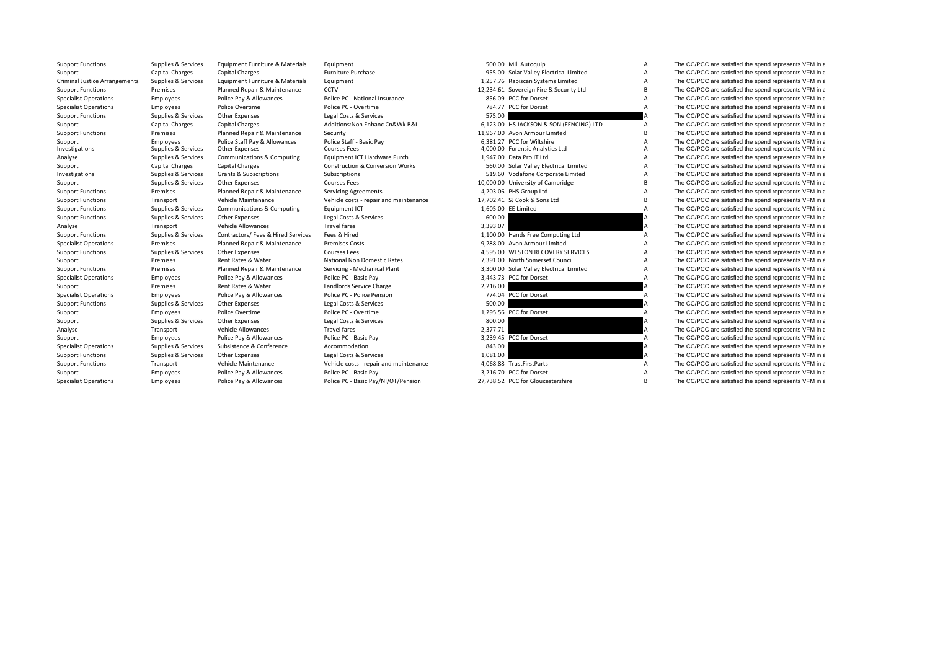Criminal Justice

|         | <b>SUU.UU IVIIII AULOQUID</b>   |
|---------|---------------------------------|
| 955.00  | Solar Valley Electrical Limited |
| 257.76  | Rapiscan Systems Limited        |
| 234.61  | Sovereign Fire & Security Ltd   |
| 856.09  | PCC for Dorset                  |
| 784.77  | PCC for Dorset                  |
| 575.00  |                                 |
| 123.00  | HS JACKSON & SON (FENCING) LTD  |
| 967.00  | Avon Armour Limited             |
| 381.27  | PCC for Wiltshire               |
| 000.00  | <b>Forensic Analytics Ltd</b>   |
| 947.00  | Data Pro IT Ltd                 |
| 560.00  | Solar Valley Electrical Limited |
| 519.60  | Vodafone Corporate Limited      |
| 000.00  | University of Cambridge         |
| 203.06  | PHS Group Ltd                   |
| 702.41  | SJ Cook & Sons Ltd              |
| 605.00  | FF Limited                      |
| 600.00  |                                 |
| 393.07  |                                 |
| 100.00  | Hands Free Computing Ltd        |
| 288.00  | Avon Armour Limited             |
| 595.00  | <b>WESTON RECOVERY SERVICES</b> |
| 391.00  | North Somerset Council          |
| 300.00  | Solar Valley Electrical Limited |
| 443.73  | PCC for Dorset                  |
| 216.00  |                                 |
| 774.04  | PCC for Dorset                  |
| 500.00  |                                 |
| 295.56  | PCC for Dorset                  |
| 800.00  |                                 |
| 377.71  |                                 |
| 239.45  | PCC for Dorset                  |
| 843.00  |                                 |
| 081.00  |                                 |
| .068.88 | <b>TrustFirstParts</b>          |
| 216.70  | PCC for Dorset                  |

Support Functions Supplies & Services Equipment Furniture & Materials Equipment Equipment 500.00 Mill Autoquip A The CC/PCC are satisfied the spend represents VFM in a Support Capital Charges Capital Charges Furniture Purchase Furniture Purchase 955.00 Solar Valley Electrical Limited A The CC/PCC are satisfied the spend represents VFM in a Criminal Justice Arrangements Supplies & Service Arrangement Equipment Supplies Arrangement Supplies Arrangement Supplies Supplies A The CC/PCC are satisfied the spend represents VFM in a The CC/PCC are satisfied the spend represents VFM in a The CC/PCC are satisfied the Support Functions Premises Planned Repair & Maintenance CCTV 12,234.61 Sovereign Fire & Security Ltd B The CC/PCC are satisfied the spend represents VFM in a Specialist Operations Employees Police Pay & Allowances Police PC - National Insurance 856.09 PCC for Dorset A The CC/PCC are satisfied the spend represents VFM in a Specialist Operations Suppliese Employees Police Overtime Police PC - Overtime Police PC - Overtime Police PC - Overtime Police PC - Overtime 784.77 PCC for Dorset A The CC/PCC are satisfied the spend represents VFM in a s Support Functions Supplies & Services Other Expenses Legal Costs & Services Capacity Costs & Services Support Functions and the CC/PCC are satisfied the spend represents VFM in a Support of the CC/PCC are satisfied the spe Support Capital Charges Capital Charges Additions:Non Enhanc Cn&Wk B&I 6,123.00 HS JACKSON & SON (FENCING) LTD A The CC/PCC are satisfied the spend represents VFM in a Support Capital Charges Capital Charges Additions:Non Support Functions Premises Planned Repair & Maintenance Security Security 11,967.00 Avon Armour Limited B The CC/PCC are satisfied the spend represents VFM in a Support Employees Police Staff Pay & Allowances Police Staff - Basic Pay 6,381.27 PCC for Wiltshire A The CC/PCC are satisfied the spend represents VFM in a Supplies & Services Other Expenses Courses Fees Courses Fees 4,00 The CC/PCC are satisfied the spend represents VFM in a Analyse Supplies & Services Communications & Computing Equipment ICT Hardware Purch 1,947.00 Data Pro IT Ltd 1,947.00 Data Pro IT Ltd A The CC/PCC are satisfied the spend represents VFM in a Support Computing Computing Com Support Capital Charges Capital Charges Construction & Conversion Works 560.00 Solar Valley Electrical Limited A The CC/PCC are satisfied the spend represents VFM in a Investigations Supplies & Services Grants & Subscriptions Subscriptions Subscriptions Subscriptions Subscriptions Subscriptions Subscriptions 519.60 Vodafone Corporate Limited A The CC/PCC are satisfied the spend represent Support Supplies & Services Other Expenses Courses Fees Courses Fees Courses Fees 10,000.00 University of Cambridge B The CC/PCC are satisfied the spend represents VFM in a Support Functions Permises Planned Repair & Maint Support Functions Premises Planned Repair & Maintenance Servicing Agreements 4,203.06 PHS Group Ltd A The CC/PCC are satisfied the spend represents VFM in a Support Functions Transport Vehicle Maintenance Vehicle costs - repair and maintenance 17,702.41 SJ Cook & Sons Ltd B The CC/PCC are satisfied the spend represents VFM in a Support Functions Supplies & Services Communications & Computing Equipment ICT 1,605.00 EE Limited A The CC/PCC are satisfied the spend represents VFM in a Support Functions Supplies & Services Other Expenses Legal Costs & Services Legal Costs & Services 600.00 A The CC/PCC are satisfied the spend represents VFM in a Analyse Transport Vehicle Allowances Travel fares 3,393.07 3,393.07 A The CC/PCC are satisfied the spend represents VFM in a Support Functions Supplies & Services Contractors/ Fees & Hired Services Fees & Hired 1,100.00 Hands Free Computing Ltd A The CC/PCC are satisfied the spend represents VFM in a Specialist Operations Premises Planned Repair & Maintenance Premises Costs 9,288.00 Avon Armour Limited A The CC/PCC are satisfied the spend represents VFM in a Support Functions Supplies & Services Other Expenses Courses Fees Courses Fees 4,595.00 WESTON RECOVERY SERVICES A The CC/PCC are satisfied the spend represents VFM in a Support Premises Rent Rates & Water National Non Domestic Rates 7,391.00 North Somerset Council A The CC/PCC are satisfied the spend represents VFM in a Support Functions Premises Planned Repair & Maintenance Servicing - Mechanical Plant 3,300.00 Solar Valley Electrical Limited A The CC/PCC are satisfied the spend represents VFM in a Specialist Operations Employees Police Pay & Allowances Police PC - Basic Pay 3,443.73 PCC for Dorset A The CC/PCC are satisfied the spend represents VFM in a Support Premises Rent Rates & Water Landlords Service Charge 2,216.00 2,216.00 A The CC/PCC are satisfied the spend represents VFM in a Specialist Operations Employees Police Pay & Allowances Police PC ‐ Police Pension 774.04 PCC for Dorset A The CC/PCC are satisfied the spend represents VFM in a Support Functions Supplies & Services Other Expenses Legal Costs & Services Legal Costs & Services 500.00 A The CC/PCC are satisfied the spend represents VFM in a Support Employees Police Overtime Police PC - Overtime Police PC - Overtime 1,295.56 PCC for Dorset A The CC/PCC are satisfied the spend represents VFM in a Support Supplies & Services Other Expenses Legal Costs & Services **800.00** BOO.00 **A** The CC/PCC are satisfied the spend represents VFM in a Analyse Transport Vehicle Allowances Travel fares 2,377.71 2,377.71 A The CC/PCC are satisfied the spend represents VFM in a Support Employees Police Pay & Allowances Police PC - Basic Pay 3,239.45 PCC for Dorset A The CC/PCC are satisfied the spend represents VFM in a Specialist Operations Supplies & Services Subsistence Subsistence Accommodation Accommodation and the Services Subsistence Accommodation and the Services and the Services of the Services Subsistence and the spend represent Support Functions Supplies & Services Other Expenses Legal Costs & Services 1,081.00 A The CC/PCC are satisfied the spend represents VFM in a Support Functions Transport Vehicle Maintenance Vehicle costs - repair and maintenance 4,068.88 TrustFirstParts A The CC/PCC are satisfied the spend represents VFM in a Support Employees Police Pay & Allowances Police PC - Basic Pay 3,216.70 PCC for Dorset A The CC/PCC are satisfied the spend represents VFM in a Specialist Operations Employees Police Pay & Allowances Police PC ‐ Basic Pay/NI/OT/Pension 27,738.52 PCC for Gloucestershire B The CC/PCC are satisfied the spend represents VFM in a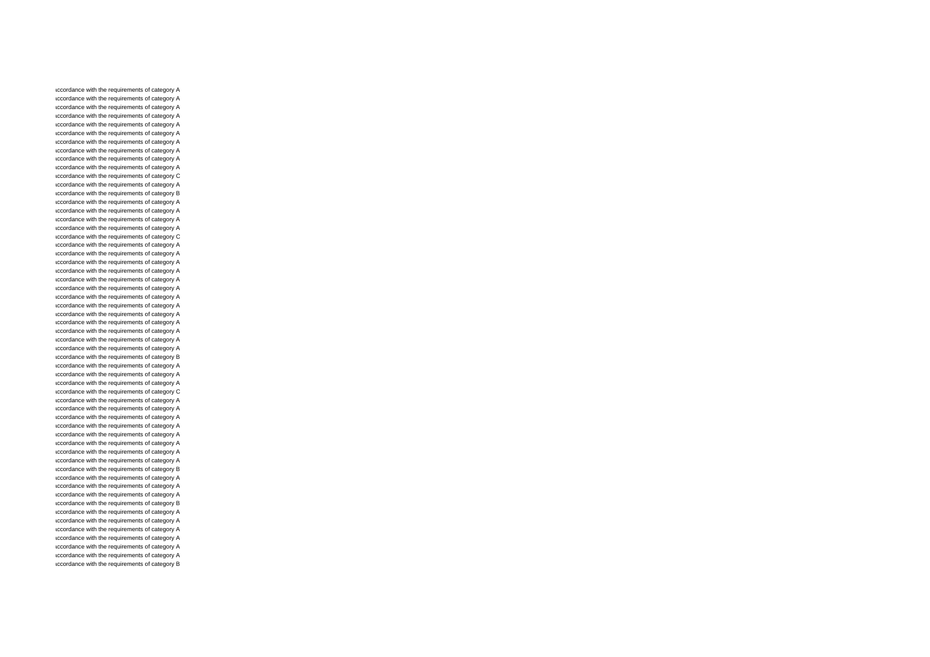accordance with the requirements of category A accordance with the requirements of category A accordance with the requirements of category A accordance with the requirements of category A accordance with the requirements of category A accordance with the requirements of category A accordance with the requirements of category A accordance with the requirements of category A accordance with the requirements of category A accordance with the requirements of category A accordance with the requirements of category C accordance with the requirements of category A accordance with the requirements of category B accordance with the requirements of category A accordance with the requirements of category A accordance with the requirements of category A accordance with the requirements of category A accordance with the requirements of category C accordance with the requirements of category A accordance with the requirements of category A accordance with the requirements of category A accordance with the requirements of category A accordance with the requirements of category A accordance with the requirements of category A accordance with the requirements of category A accordance with the requirements of category A accordance with the requirements of category A accordance with the requirements of category A accordance with the requirements of category A accordance with the requirements of category A accordance with the requirements of category A accordance with the requirements of category B accordance with the requirements of category A accordance with the requirements of category A accordance with the requirements of category A accordance with the requirements of category C accordance with the requirements of category A accordance with the requirements of category A accordance with the requirements of category A accordance with the requirements of category A accordance with the requirements of category A accordance with the requirements of category A accordance with the requirements of category A accordance with the requirements of category A accordance with the requirements of category B accordance with the requirements of category A accordance with the requirements of category A accordance with the requirements of category A accordance with the requirements of category B accordance with the requirements of category A accordance with the requirements of category A accordance with the requirements of category A accordance with the requirements of category A accordance with the requirements of category A accordance with the requirements of category A accordance with the requirements of category B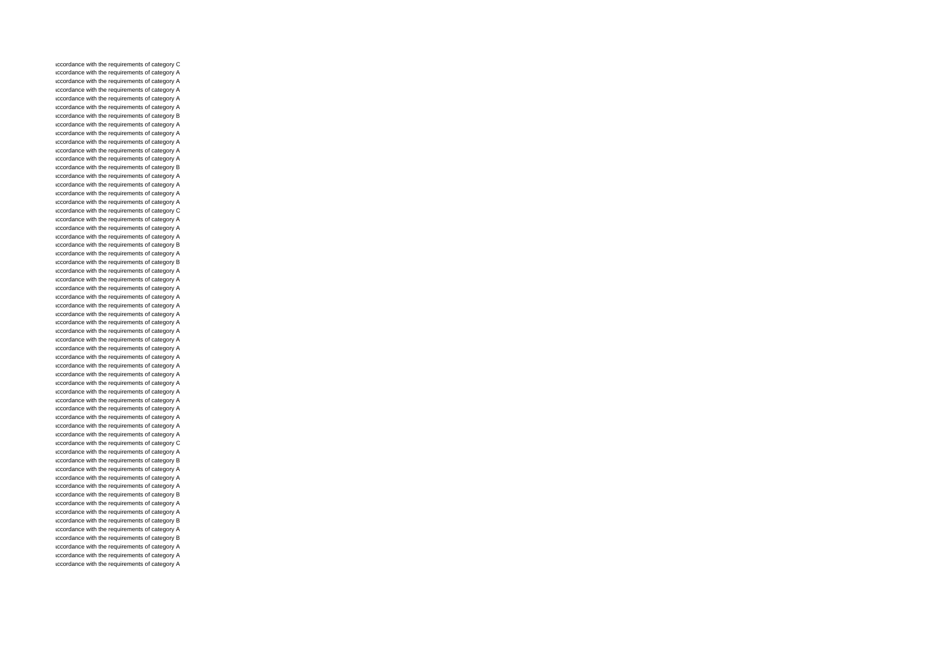accordance with the requirements of category C accordance with the requirements of category A accordance with the requirements of category A accordance with the requirements of category A accordance with the requirements of category A accordance with the requirements of category A accordance with the requirements of category B accordance with the requirements of category A accordance with the requirements of category A accordance with the requirements of category A accordance with the requirements of category A accordance with the requirements of category A accordance with the requirements of category B accordance with the requirements of category A accordance with the requirements of category A accordance with the requirements of category A accordance with the requirements of category A accordance with the requirements of category C accordance with the requirements of category A accordance with the requirements of category A accordance with the requirements of category A accordance with the requirements of category B accordance with the requirements of category A accordance with the requirements of category B accordance with the requirements of category A accordance with the requirements of category A accordance with the requirements of category A accordance with the requirements of category A accordance with the requirements of category A accordance with the requirements of category A accordance with the requirements of category A accordance with the requirements of category A accordance with the requirements of category A accordance with the requirements of category A accordance with the requirements of category A accordance with the requirements of category A accordance with the requirements of category A accordance with the requirements of category A accordance with the requirements of category A accordance with the requirements of category A accordance with the requirements of category A accordance with the requirements of category A accordance with the requirements of category A accordance with the requirements of category A accordance with the requirements of category C accordance with the requirements of category A accordance with the requirements of category B accordance with the requirements of category A accordance with the requirements of category A accordance with the requirements of category A accordance with the requirements of category B accordance with the requirements of category A accordance with the requirements of category A accordance with the requirements of category B accordance with the requirements of category A accordance with the requirements of category B accordance with the requirements of category A accordance with the requirements of category A accordance with the requirements of category A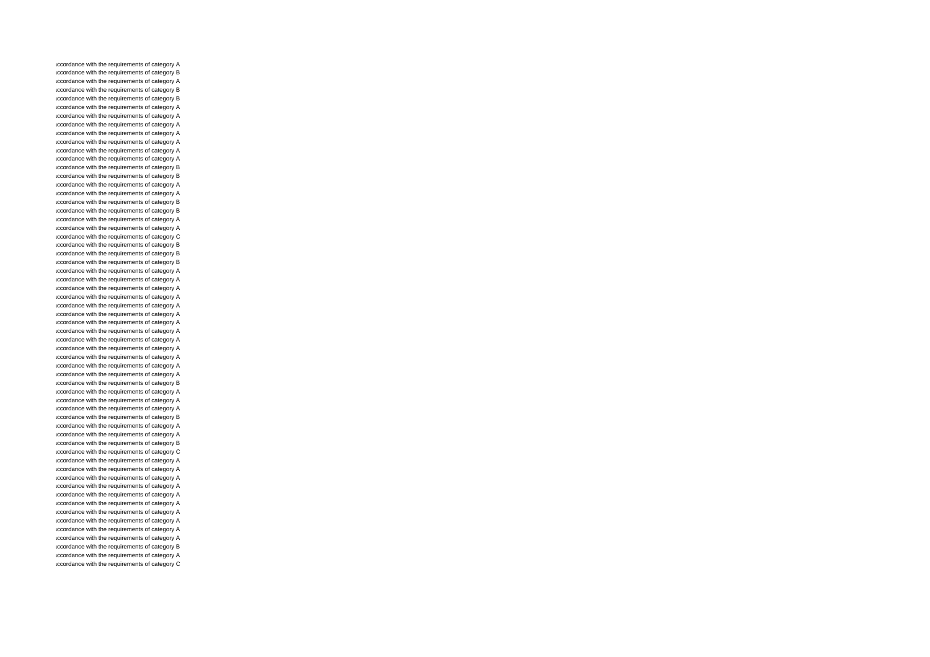accordance with the requirements of category A accordance with the requirements of category B accordance with the requirements of category A accordance with the requirements of category B accordance with the requirements of category B accordance with the requirements of category A accordance with the requirements of category A accordance with the requirements of category A accordance with the requirements of category A accordance with the requirements of category A accordance with the requirements of category A accordance with the requirements of category A accordance with the requirements of category B accordance with the requirements of category B accordance with the requirements of category A accordance with the requirements of category A accordance with the requirements of category B accordance with the requirements of category B accordance with the requirements of category A accordance with the requirements of category A accordance with the requirements of category C accordance with the requirements of category B accordance with the requirements of category B accordance with the requirements of category B accordance with the requirements of category A accordance with the requirements of category A accordance with the requirements of category A accordance with the requirements of category A accordance with the requirements of category A accordance with the requirements of category A accordance with the requirements of category A accordance with the requirements of category A accordance with the requirements of category A accordance with the requirements of category A accordance with the requirements of category A accordance with the requirements of category A accordance with the requirements of category A accordance with the requirements of category B accordance with the requirements of category A accordance with the requirements of category A accordance with the requirements of category A accordance with the requirements of category B accordance with the requirements of category A accordance with the requirements of category A accordance with the requirements of category B accordance with the requirements of category C accordance with the requirements of category A accordance with the requirements of category A accordance with the requirements of category A accordance with the requirements of category A accordance with the requirements of category A accordance with the requirements of category A accordance with the requirements of category A accordance with the requirements of category A accordance with the requirements of category A accordance with the requirements of category A accordance with the requirements of category B accordance with the requirements of category A accordance with the requirements of category C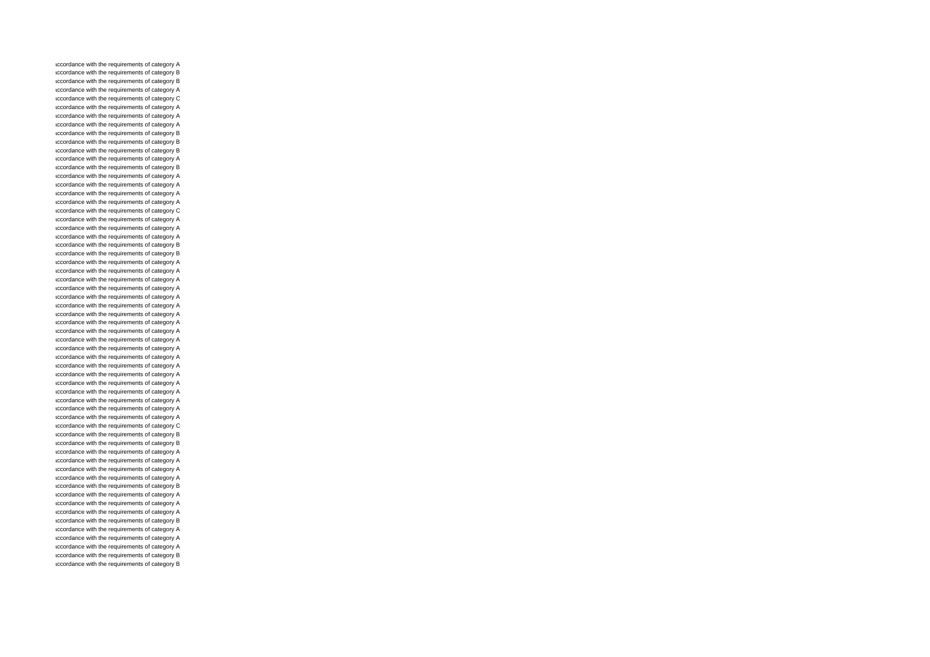accordance with the requirements of category A accordance with the requirements of category B accordance with the requirements of category B accordance with the requirements of category A accordance with the requirements of category C accordance with the requirements of category A accordance with the requirements of category A accordance with the requirements of category A accordance with the requirements of category B accordance with the requirements of category B accordance with the requirements of category B accordance with the requirements of category A accordance with the requirements of category B accordance with the requirements of category A accordance with the requirements of category A accordance with the requirements of category A accordance with the requirements of category A accordance with the requirements of category C accordance with the requirements of category A accordance with the requirements of category A accordance with the requirements of category A accordance with the requirements of category B accordance with the requirements of category B accordance with the requirements of category A accordance with the requirements of category A accordance with the requirements of category A accordance with the requirements of category A accordance with the requirements of category A accordance with the requirements of category A accordance with the requirements of category A accordance with the requirements of category A accordance with the requirements of category A accordance with the requirements of category A accordance with the requirements of category A accordance with the requirements of category A accordance with the requirements of category A accordance with the requirements of category A accordance with the requirements of category A accordance with the requirements of category A accordance with the requirements of category A accordance with the requirements of category A accordance with the requirements of category A accordance with the requirements of category C accordance with the requirements of category B accordance with the requirements of category B accordance with the requirements of category A accordance with the requirements of category A accordance with the requirements of category A accordance with the requirements of category A accordance with the requirements of category B accordance with the requirements of category A accordance with the requirements of category A accordance with the requirements of category A accordance with the requirements of category B accordance with the requirements of category A accordance with the requirements of category A accordance with the requirements of category A accordance with the requirements of category B accordance with the requirements of category B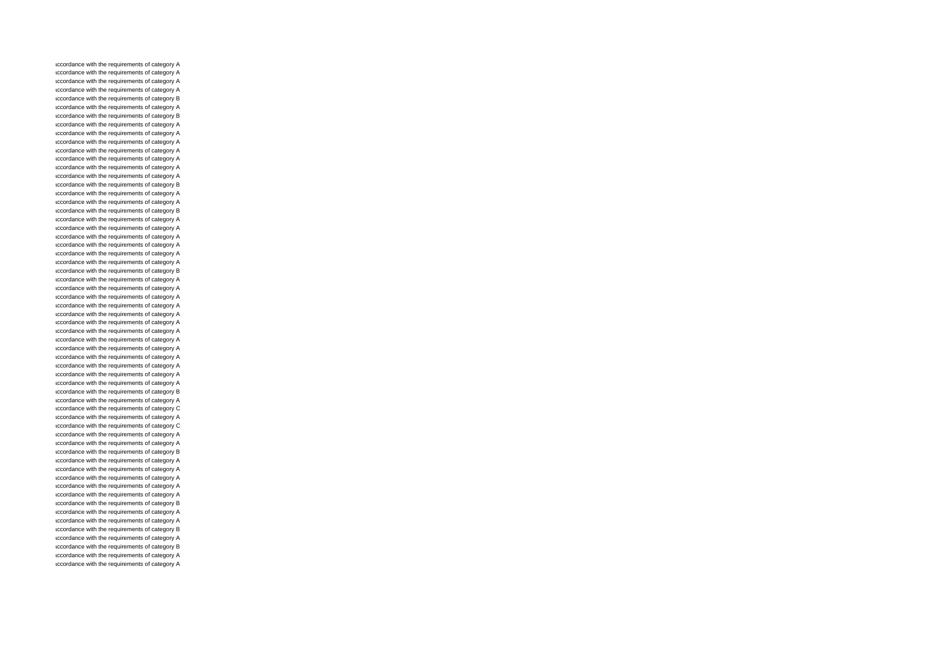accordance with the requirements of category A accordance with the requirements of category A accordance with the requirements of category A accordance with the requirements of category A accordance with the requirements of category B accordance with the requirements of category A accordance with the requirements of category B accordance with the requirements of category A accordance with the requirements of category A accordance with the requirements of category A accordance with the requirements of category A accordance with the requirements of category A accordance with the requirements of category A accordance with the requirements of category A accordance with the requirements of category B accordance with the requirements of category A accordance with the requirements of category A accordance with the requirements of category B accordance with the requirements of category A accordance with the requirements of category A accordance with the requirements of category A accordance with the requirements of category A accordance with the requirements of category A accordance with the requirements of category A accordance with the requirements of category B accordance with the requirements of category A accordance with the requirements of category A accordance with the requirements of category A accordance with the requirements of category A accordance with the requirements of category A accordance with the requirements of category A accordance with the requirements of category A accordance with the requirements of category A accordance with the requirements of category A accordance with the requirements of category A accordance with the requirements of category A accordance with the requirements of category A accordance with the requirements of category A accordance with the requirements of category B accordance with the requirements of category A accordance with the requirements of category C accordance with the requirements of category A accordance with the requirements of category C accordance with the requirements of category A accordance with the requirements of category A accordance with the requirements of category B accordance with the requirements of category A accordance with the requirements of category A accordance with the requirements of category A accordance with the requirements of category A accordance with the requirements of category A accordance with the requirements of category B accordance with the requirements of category A accordance with the requirements of category A accordance with the requirements of category B accordance with the requirements of category A accordance with the requirements of category B accordance with the requirements of category A accordance with the requirements of category A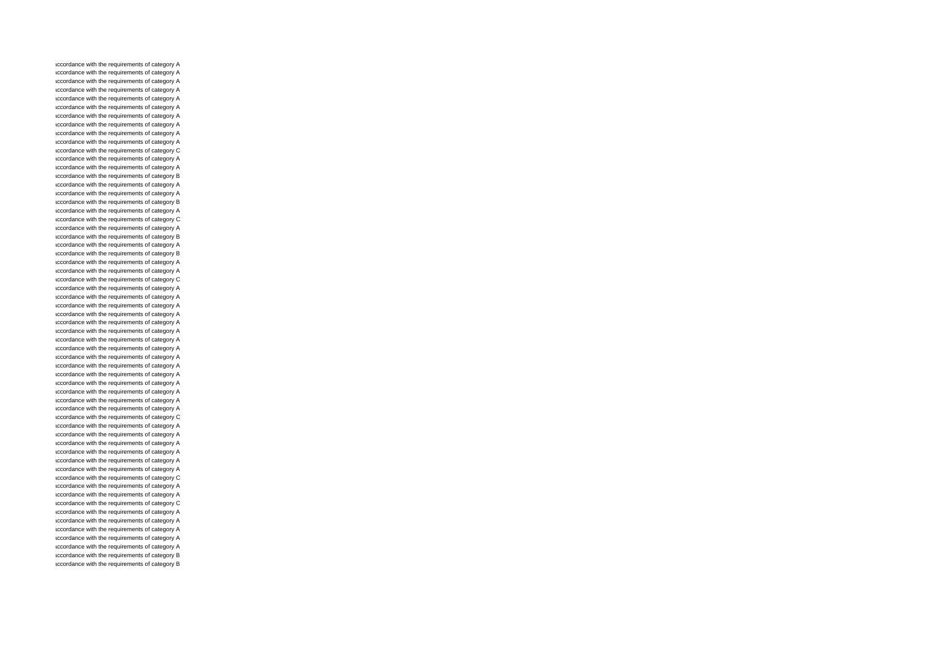accordance with the requirements of category A accordance with the requirements of category A accordance with the requirements of category A accordance with the requirements of category A accordance with the requirements of category A accordance with the requirements of category A accordance with the requirements of category A accordance with the requirements of category A accordance with the requirements of category A accordance with the requirements of category A accordance with the requirements of category C accordance with the requirements of category A accordance with the requirements of category A accordance with the requirements of category B accordance with the requirements of category A accordance with the requirements of category A accordance with the requirements of category B accordance with the requirements of category A accordance with the requirements of category C accordance with the requirements of category A accordance with the requirements of category B accordance with the requirements of category A accordance with the requirements of category B accordance with the requirements of category A accordance with the requirements of category A accordance with the requirements of category C accordance with the requirements of category A accordance with the requirements of category A accordance with the requirements of category A accordance with the requirements of category A accordance with the requirements of category A accordance with the requirements of category A accordance with the requirements of category A accordance with the requirements of category A accordance with the requirements of category A accordance with the requirements of category A accordance with the requirements of category A accordance with the requirements of category A accordance with the requirements of category A accordance with the requirements of category A accordance with the requirements of category A accordance with the requirements of category C accordance with the requirements of category A accordance with the requirements of category A accordance with the requirements of category A accordance with the requirements of category A accordance with the requirements of category A accordance with the requirements of category A accordance with the requirements of category C accordance with the requirements of category A accordance with the requirements of category A accordance with the requirements of category C accordance with the requirements of category A accordance with the requirements of category A accordance with the requirements of category A accordance with the requirements of category A accordance with the requirements of category A accordance with the requirements of category B accordance with the requirements of category B